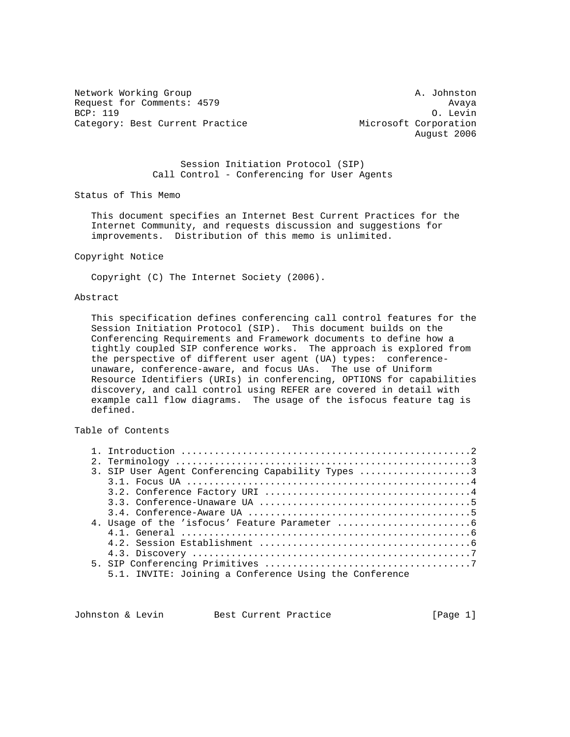Network Working Group and A. Johnston A. Johnston Request for Comments: 4579 Avaya<br>BCP: 119 20. Levin Category: Best Current Practice Microsoft Corporation

O. Levin August 2006

 Session Initiation Protocol (SIP) Call Control - Conferencing for User Agents

Status of This Memo

 This document specifies an Internet Best Current Practices for the Internet Community, and requests discussion and suggestions for improvements. Distribution of this memo is unlimited.

#### Copyright Notice

Copyright (C) The Internet Society (2006).

## Abstract

 This specification defines conferencing call control features for the Session Initiation Protocol (SIP). This document builds on the Conferencing Requirements and Framework documents to define how a tightly coupled SIP conference works. The approach is explored from the perspective of different user agent (UA) types: conference unaware, conference-aware, and focus UAs. The use of Uniform Resource Identifiers (URIs) in conferencing, OPTIONS for capabilities discovery, and call control using REFER are covered in detail with example call flow diagrams. The usage of the isfocus feature tag is defined.

# Table of Contents

|  | 3. SIP User Agent Conferencing Capability Types 3      |
|--|--------------------------------------------------------|
|  |                                                        |
|  |                                                        |
|  |                                                        |
|  |                                                        |
|  |                                                        |
|  |                                                        |
|  |                                                        |
|  |                                                        |
|  |                                                        |
|  | 5.1. INVITE: Joining a Conference Using the Conference |

Johnston & Levin Best Current Practice [Page 1]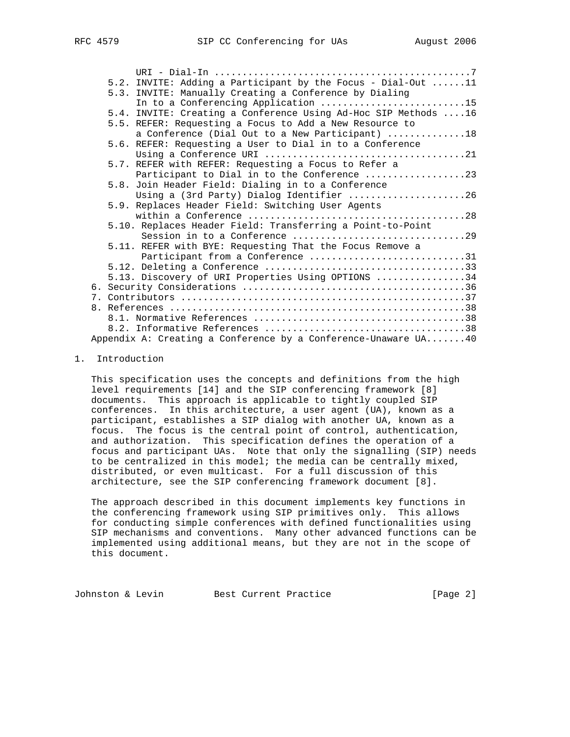|  | 5.2. INVITE: Adding a Participant by the Focus - Dial-Out 11    |
|--|-----------------------------------------------------------------|
|  | 5.3. INVITE: Manually Creating a Conference by Dialing          |
|  | In to a Conferencing Application 15                             |
|  | 5.4. INVITE: Creating a Conference Using Ad-Hoc SIP Methods 16  |
|  | 5.5. REFER: Requesting a Focus to Add a New Resource to         |
|  | a Conference (Dial Out to a New Participant) 18                 |
|  | 5.6. REFER: Requesting a User to Dial in to a Conference        |
|  |                                                                 |
|  | 5.7. REFER with REFER: Requesting a Focus to Refer a            |
|  | Participant to Dial in to the Conference 23                     |
|  | 5.8. Join Header Field: Dialing in to a Conference              |
|  | Using a (3rd Party) Dialog Identifier 26                        |
|  | 5.9. Replaces Header Field: Switching User Agents               |
|  |                                                                 |
|  | 5.10. Replaces Header Field: Transferring a Point-to-Point      |
|  |                                                                 |
|  | 5.11. REFER with BYE: Requesting That the Focus Remove a        |
|  | Participant from a Conference 31                                |
|  |                                                                 |
|  | 5.13. Discovery of URI Properties Using OPTIONS 34              |
|  |                                                                 |
|  |                                                                 |
|  |                                                                 |
|  |                                                                 |
|  |                                                                 |
|  | Appendix A: Creating a Conference by a Conference-Unaware UA 40 |

#### 1. Introduction

 This specification uses the concepts and definitions from the high level requirements [14] and the SIP conferencing framework [8] documents. This approach is applicable to tightly coupled SIP conferences. In this architecture, a user agent (UA), known as a participant, establishes a SIP dialog with another UA, known as a focus. The focus is the central point of control, authentication, and authorization. This specification defines the operation of a focus and participant UAs. Note that only the signalling (SIP) needs to be centralized in this model; the media can be centrally mixed, distributed, or even multicast. For a full discussion of this architecture, see the SIP conferencing framework document [8].

 The approach described in this document implements key functions in the conferencing framework using SIP primitives only. This allows for conducting simple conferences with defined functionalities using SIP mechanisms and conventions. Many other advanced functions can be implemented using additional means, but they are not in the scope of this document.

Johnston & Levin Best Current Practice [Page 2]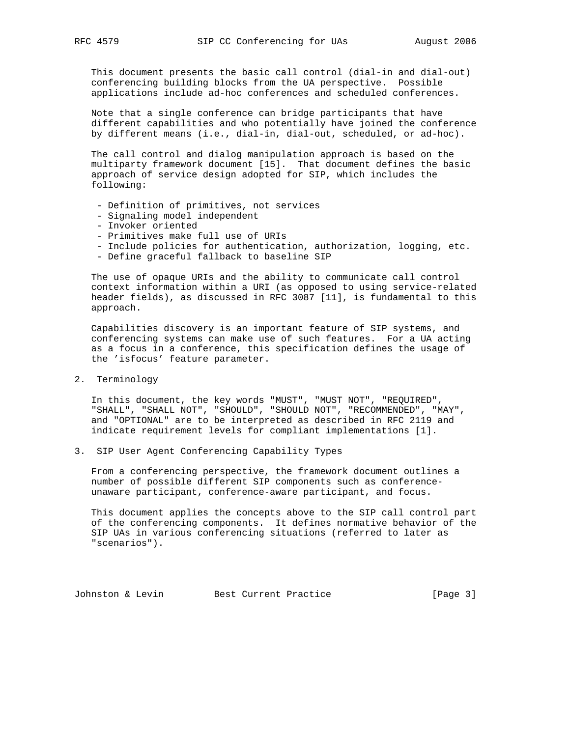This document presents the basic call control (dial-in and dial-out) conferencing building blocks from the UA perspective. Possible applications include ad-hoc conferences and scheduled conferences.

 Note that a single conference can bridge participants that have different capabilities and who potentially have joined the conference by different means (i.e., dial-in, dial-out, scheduled, or ad-hoc).

 The call control and dialog manipulation approach is based on the multiparty framework document [15]. That document defines the basic approach of service design adopted for SIP, which includes the following:

- Definition of primitives, not services
- Signaling model independent
- Invoker oriented
- Primitives make full use of URIs
- Include policies for authentication, authorization, logging, etc.
- Define graceful fallback to baseline SIP

 The use of opaque URIs and the ability to communicate call control context information within a URI (as opposed to using service-related header fields), as discussed in RFC 3087 [11], is fundamental to this approach.

 Capabilities discovery is an important feature of SIP systems, and conferencing systems can make use of such features. For a UA acting as a focus in a conference, this specification defines the usage of the 'isfocus' feature parameter.

2. Terminology

 In this document, the key words "MUST", "MUST NOT", "REQUIRED", "SHALL", "SHALL NOT", "SHOULD", "SHOULD NOT", "RECOMMENDED", "MAY", and "OPTIONAL" are to be interpreted as described in RFC 2119 and indicate requirement levels for compliant implementations [1].

3. SIP User Agent Conferencing Capability Types

 From a conferencing perspective, the framework document outlines a number of possible different SIP components such as conference unaware participant, conference-aware participant, and focus.

 This document applies the concepts above to the SIP call control part of the conferencing components. It defines normative behavior of the SIP UAs in various conferencing situations (referred to later as "scenarios").

Johnston & Levin Best Current Practice [Page 3]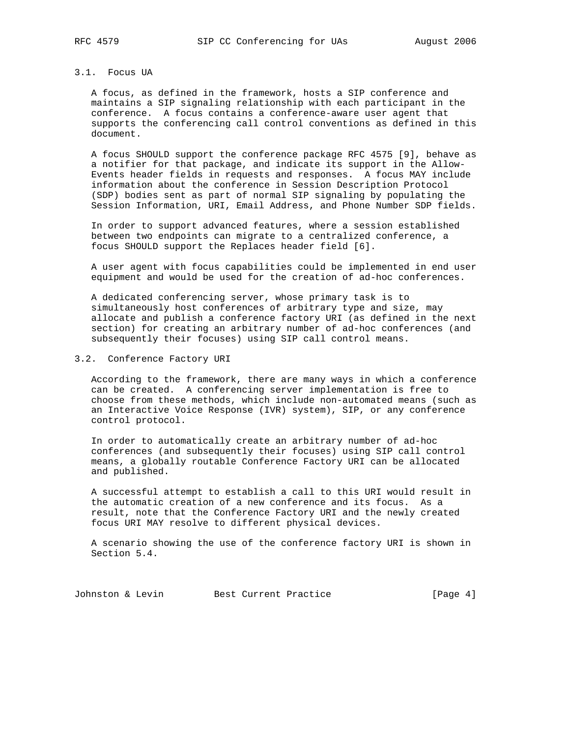# 3.1. Focus UA

 A focus, as defined in the framework, hosts a SIP conference and maintains a SIP signaling relationship with each participant in the conference. A focus contains a conference-aware user agent that supports the conferencing call control conventions as defined in this document.

 A focus SHOULD support the conference package RFC 4575 [9], behave as a notifier for that package, and indicate its support in the Allow- Events header fields in requests and responses. A focus MAY include information about the conference in Session Description Protocol (SDP) bodies sent as part of normal SIP signaling by populating the Session Information, URI, Email Address, and Phone Number SDP fields.

 In order to support advanced features, where a session established between two endpoints can migrate to a centralized conference, a focus SHOULD support the Replaces header field [6].

 A user agent with focus capabilities could be implemented in end user equipment and would be used for the creation of ad-hoc conferences.

 A dedicated conferencing server, whose primary task is to simultaneously host conferences of arbitrary type and size, may allocate and publish a conference factory URI (as defined in the next section) for creating an arbitrary number of ad-hoc conferences (and subsequently their focuses) using SIP call control means.

3.2. Conference Factory URI

 According to the framework, there are many ways in which a conference can be created. A conferencing server implementation is free to choose from these methods, which include non-automated means (such as an Interactive Voice Response (IVR) system), SIP, or any conference control protocol.

 In order to automatically create an arbitrary number of ad-hoc conferences (and subsequently their focuses) using SIP call control means, a globally routable Conference Factory URI can be allocated and published.

 A successful attempt to establish a call to this URI would result in the automatic creation of a new conference and its focus. As a result, note that the Conference Factory URI and the newly created focus URI MAY resolve to different physical devices.

 A scenario showing the use of the conference factory URI is shown in Section 5.4.

Johnston & Levin Best Current Practice [Page 4]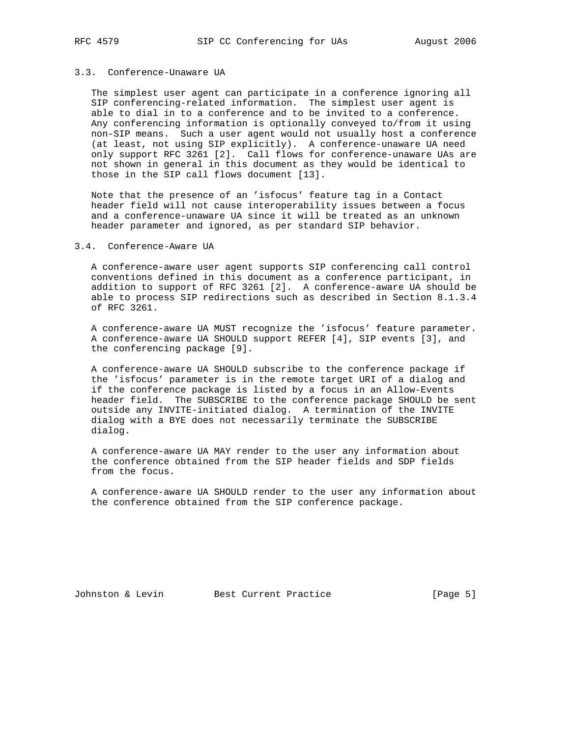# 3.3. Conference-Unaware UA

 The simplest user agent can participate in a conference ignoring all SIP conferencing-related information. The simplest user agent is able to dial in to a conference and to be invited to a conference. Any conferencing information is optionally conveyed to/from it using non-SIP means. Such a user agent would not usually host a conference (at least, not using SIP explicitly). A conference-unaware UA need only support RFC 3261 [2]. Call flows for conference-unaware UAs are not shown in general in this document as they would be identical to those in the SIP call flows document [13].

 Note that the presence of an 'isfocus' feature tag in a Contact header field will not cause interoperability issues between a focus and a conference-unaware UA since it will be treated as an unknown header parameter and ignored, as per standard SIP behavior.

## 3.4. Conference-Aware UA

 A conference-aware user agent supports SIP conferencing call control conventions defined in this document as a conference participant, in addition to support of RFC 3261 [2]. A conference-aware UA should be able to process SIP redirections such as described in Section 8.1.3.4 of RFC 3261.

 A conference-aware UA MUST recognize the 'isfocus' feature parameter. A conference-aware UA SHOULD support REFER [4], SIP events [3], and the conferencing package [9].

 A conference-aware UA SHOULD subscribe to the conference package if the 'isfocus' parameter is in the remote target URI of a dialog and if the conference package is listed by a focus in an Allow-Events header field. The SUBSCRIBE to the conference package SHOULD be sent outside any INVITE-initiated dialog. A termination of the INVITE dialog with a BYE does not necessarily terminate the SUBSCRIBE dialog.

 A conference-aware UA MAY render to the user any information about the conference obtained from the SIP header fields and SDP fields from the focus.

 A conference-aware UA SHOULD render to the user any information about the conference obtained from the SIP conference package.

Johnston & Levin Best Current Practice [Page 5]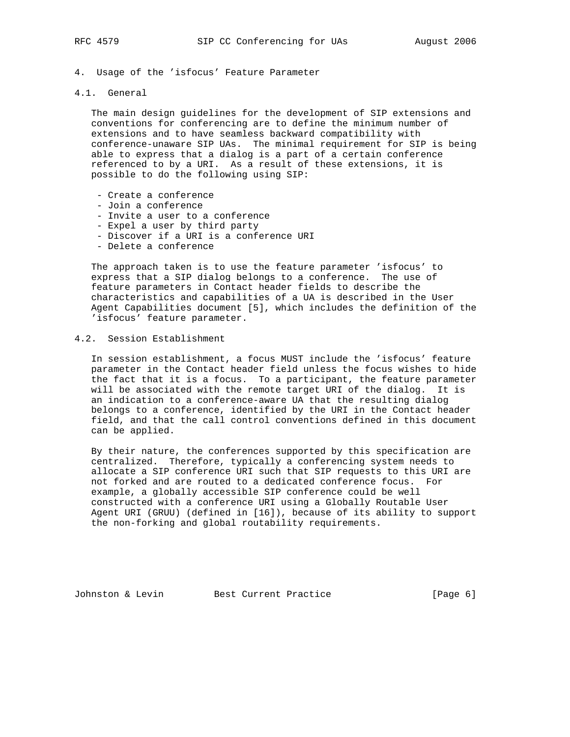- 4. Usage of the 'isfocus' Feature Parameter
- 4.1. General

 The main design guidelines for the development of SIP extensions and conventions for conferencing are to define the minimum number of extensions and to have seamless backward compatibility with conference-unaware SIP UAs. The minimal requirement for SIP is being able to express that a dialog is a part of a certain conference referenced to by a URI. As a result of these extensions, it is possible to do the following using SIP:

- Create a conference
- Join a conference
- Invite a user to a conference
- Expel a user by third party
- Discover if a URI is a conference URI
- Delete a conference

 The approach taken is to use the feature parameter 'isfocus' to express that a SIP dialog belongs to a conference. The use of feature parameters in Contact header fields to describe the characteristics and capabilities of a UA is described in the User Agent Capabilities document [5], which includes the definition of the 'isfocus' feature parameter.

# 4.2. Session Establishment

 In session establishment, a focus MUST include the 'isfocus' feature parameter in the Contact header field unless the focus wishes to hide the fact that it is a focus. To a participant, the feature parameter will be associated with the remote target URI of the dialog. It is an indication to a conference-aware UA that the resulting dialog belongs to a conference, identified by the URI in the Contact header field, and that the call control conventions defined in this document can be applied.

 By their nature, the conferences supported by this specification are centralized. Therefore, typically a conferencing system needs to allocate a SIP conference URI such that SIP requests to this URI are not forked and are routed to a dedicated conference focus. For example, a globally accessible SIP conference could be well constructed with a conference URI using a Globally Routable User Agent URI (GRUU) (defined in [16]), because of its ability to support the non-forking and global routability requirements.

Johnston & Levin Best Current Practice [Page 6]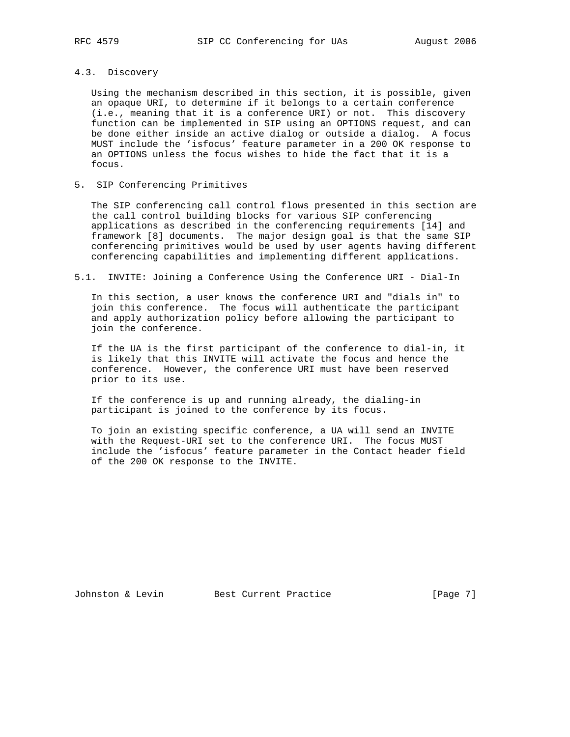# 4.3. Discovery

 Using the mechanism described in this section, it is possible, given an opaque URI, to determine if it belongs to a certain conference (i.e., meaning that it is a conference URI) or not. This discovery function can be implemented in SIP using an OPTIONS request, and can be done either inside an active dialog or outside a dialog. A focus MUST include the 'isfocus' feature parameter in a 200 OK response to an OPTIONS unless the focus wishes to hide the fact that it is a focus.

#### 5. SIP Conferencing Primitives

 The SIP conferencing call control flows presented in this section are the call control building blocks for various SIP conferencing applications as described in the conferencing requirements [14] and framework [8] documents. The major design goal is that the same SIP conferencing primitives would be used by user agents having different conferencing capabilities and implementing different applications.

### 5.1. INVITE: Joining a Conference Using the Conference URI - Dial-In

 In this section, a user knows the conference URI and "dials in" to join this conference. The focus will authenticate the participant and apply authorization policy before allowing the participant to join the conference.

 If the UA is the first participant of the conference to dial-in, it is likely that this INVITE will activate the focus and hence the conference. However, the conference URI must have been reserved prior to its use.

 If the conference is up and running already, the dialing-in participant is joined to the conference by its focus.

 To join an existing specific conference, a UA will send an INVITE with the Request-URI set to the conference URI. The focus MUST include the 'isfocus' feature parameter in the Contact header field of the 200 OK response to the INVITE.

Johnston & Levin Best Current Practice [Page 7]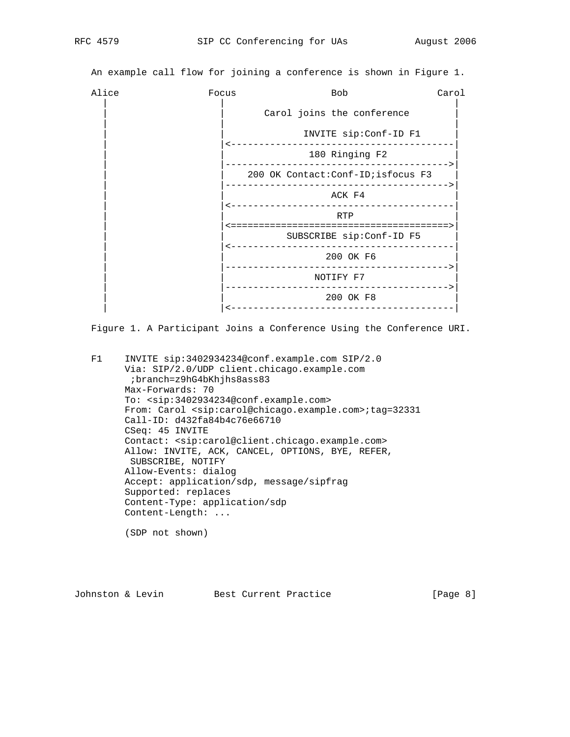Alice Focus Bob Carol | | | Carol joins the conference | | | | | INVITE sip:Conf-ID F1 | | |<----------------------------------------| 180 Ringing F2 | |---------------------------------------->| 200 OK Contact:Conf-ID;isfocus F3 | |---------------------------------------->| ACK F4 | |<----------------------------------------| | | RTP | | |<=======================================>| SUBSCRIBE sip:Conf-ID F5 | |<----------------------------------------| 200 OK F6 | |---------------------------------------->| NOTIFY F7 | |---------------------------------------->| | | 200 OK F8 | | |<----------------------------------------|

An example call flow for joining a conference is shown in Figure 1.

Figure 1. A Participant Joins a Conference Using the Conference URI.

```
 F1 INVITE sip:3402934234@conf.example.com SIP/2.0
      Via: SIP/2.0/UDP client.chicago.example.com
      ;branch=z9hG4bKhjhs8ass83
      Max-Forwards: 70
      To: <sip:3402934234@conf.example.com>
     From: Carol <sip:carol@chicago.example.com>;tag=32331
      Call-ID: d432fa84b4c76e66710
      CSeq: 45 INVITE
      Contact: <sip:carol@client.chicago.example.com>
      Allow: INVITE, ACK, CANCEL, OPTIONS, BYE, REFER,
       SUBSCRIBE, NOTIFY
      Allow-Events: dialog
      Accept: application/sdp, message/sipfrag
      Supported: replaces
      Content-Type: application/sdp
      Content-Length: ...
```
(SDP not shown)

Johnston & Levin Best Current Practice [Page 8]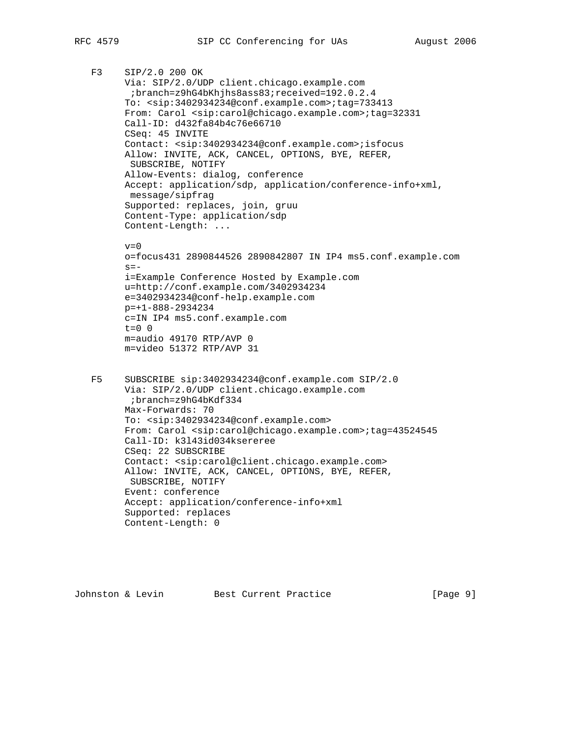F3 SIP/2.0 200 OK Via: SIP/2.0/UDP client.chicago.example.com ;branch=z9hG4bKhjhs8ass83;received=192.0.2.4 To: <sip:3402934234@conf.example.com>;tag=733413 From: Carol <sip:carol@chicago.example.com>;tag=32331 Call-ID: d432fa84b4c76e66710 CSeq: 45 INVITE Contact: <sip:3402934234@conf.example.com>;isfocus Allow: INVITE, ACK, CANCEL, OPTIONS, BYE, REFER, SUBSCRIBE, NOTIFY Allow-Events: dialog, conference Accept: application/sdp, application/conference-info+xml, message/sipfrag Supported: replaces, join, gruu Content-Type: application/sdp Content-Length: ...  $v=0$  o=focus431 2890844526 2890842807 IN IP4 ms5.conf.example.com  $s =$  i=Example Conference Hosted by Example.com u=http://conf.example.com/3402934234 e=3402934234@conf-help.example.com p=+1-888-2934234 c=IN IP4 ms5.conf.example.com t=0 0 m=audio 49170 RTP/AVP 0 m=video 51372 RTP/AVP 31 F5 SUBSCRIBE sip:3402934234@conf.example.com SIP/2.0 Via: SIP/2.0/UDP client.chicago.example.com ;branch=z9hG4bKdf334 Max-Forwards: 70 To: <sip:3402934234@conf.example.com> From: Carol <sip:carol@chicago.example.com>;tag=43524545 Call-ID: k3l43id034ksereree CSeq: 22 SUBSCRIBE Contact: <sip:carol@client.chicago.example.com> Allow: INVITE, ACK, CANCEL, OPTIONS, BYE, REFER, SUBSCRIBE, NOTIFY Event: conference Accept: application/conference-info+xml Supported: replaces Content-Length: 0

Johnston & Levin Best Current Practice [Page 9]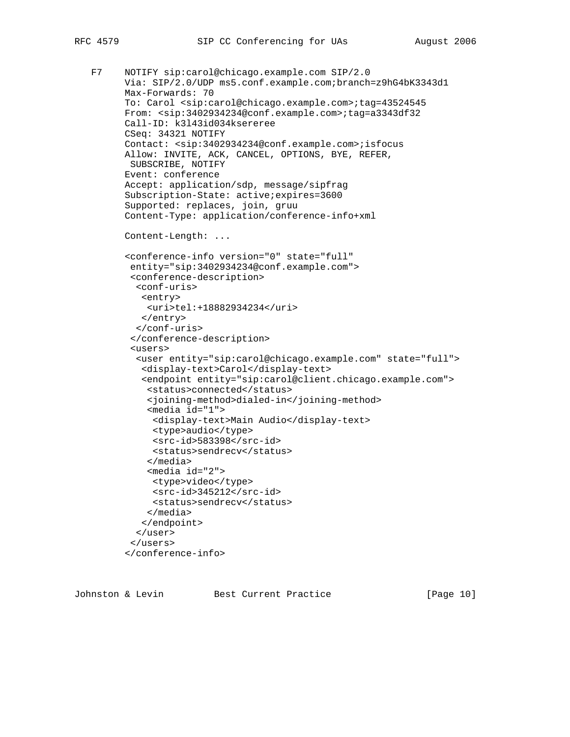```
 F7 NOTIFY sip:carol@chicago.example.com SIP/2.0
      Via: SIP/2.0/UDP ms5.conf.example.com;branch=z9hG4bK3343d1
      Max-Forwards: 70
      To: Carol <sip:carol@chicago.example.com>;tag=43524545
      From: <sip:3402934234@conf.example.com>;tag=a3343df32
      Call-ID: k3l43id034ksereree
      CSeq: 34321 NOTIFY
      Contact: <sip:3402934234@conf.example.com>;isfocus
      Allow: INVITE, ACK, CANCEL, OPTIONS, BYE, REFER,
      SUBSCRIBE, NOTIFY
      Event: conference
      Accept: application/sdp, message/sipfrag
      Subscription-State: active;expires=3600
      Supported: replaces, join, gruu
      Content-Type: application/conference-info+xml
      Content-Length: ...
      <conference-info version="0" state="full"
       entity="sip:3402934234@conf.example.com">
       <conference-description>
        <conf-uris>
         <entry>
          <uri>tel:+18882934234</uri>
         </entry>
        </conf-uris>
       </conference-description>
       <users>
        <user entity="sip:carol@chicago.example.com" state="full">
         <display-text>Carol</display-text>
         <endpoint entity="sip:carol@client.chicago.example.com">
          <status>connected</status>
          <joining-method>dialed-in</joining-method>
          <media id="1">
           <display-text>Main Audio</display-text>
           <type>audio</type>
           <src-id>583398</src-id>
           <status>sendrecv</status>
          </media>
          <media id="2">
           <type>video</type>
           <src-id>345212</src-id>
           <status>sendrecv</status>
          </media>
         </endpoint>
        </user>
       </users>
      </conference-info>
```
Johnston & Levin Best Current Practice [Page 10]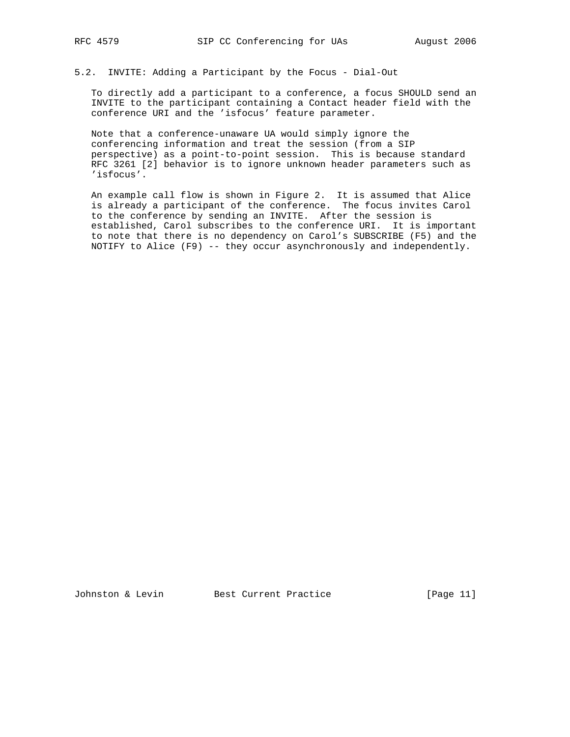# 5.2. INVITE: Adding a Participant by the Focus - Dial-Out

 To directly add a participant to a conference, a focus SHOULD send an INVITE to the participant containing a Contact header field with the conference URI and the 'isfocus' feature parameter.

 Note that a conference-unaware UA would simply ignore the conferencing information and treat the session (from a SIP perspective) as a point-to-point session. This is because standard RFC 3261 [2] behavior is to ignore unknown header parameters such as 'isfocus'.

 An example call flow is shown in Figure 2. It is assumed that Alice is already a participant of the conference. The focus invites Carol to the conference by sending an INVITE. After the session is established, Carol subscribes to the conference URI. It is important to note that there is no dependency on Carol's SUBSCRIBE (F5) and the NOTIFY to Alice (F9) -- they occur asynchronously and independently.

Johnston & Levin Best Current Practice [Page 11]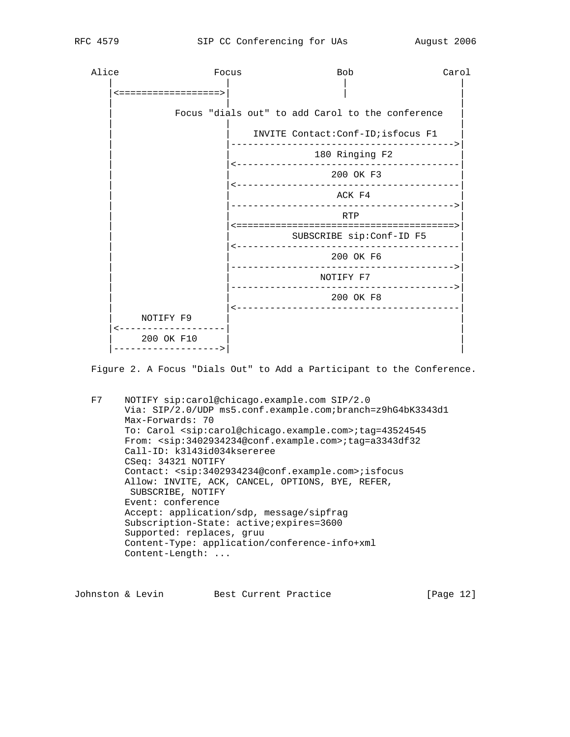

Figure 2. A Focus "Dials Out" to Add a Participant to the Conference.

 F7 NOTIFY sip:carol@chicago.example.com SIP/2.0 Via: SIP/2.0/UDP ms5.conf.example.com;branch=z9hG4bK3343d1 Max-Forwards: 70 To: Carol <sip:carol@chicago.example.com>;tag=43524545 From: <sip:3402934234@conf.example.com>;tag=a3343df32 Call-ID: k3l43id034ksereree CSeq: 34321 NOTIFY Contact: <sip:3402934234@conf.example.com>;isfocus Allow: INVITE, ACK, CANCEL, OPTIONS, BYE, REFER, SUBSCRIBE, NOTIFY Event: conference Accept: application/sdp, message/sipfrag Subscription-State: active;expires=3600 Supported: replaces, gruu Content-Type: application/conference-info+xml Content-Length: ...

| Johnston & Levin | Best Current Practice |  | [Page $12$ ] |  |
|------------------|-----------------------|--|--------------|--|
|------------------|-----------------------|--|--------------|--|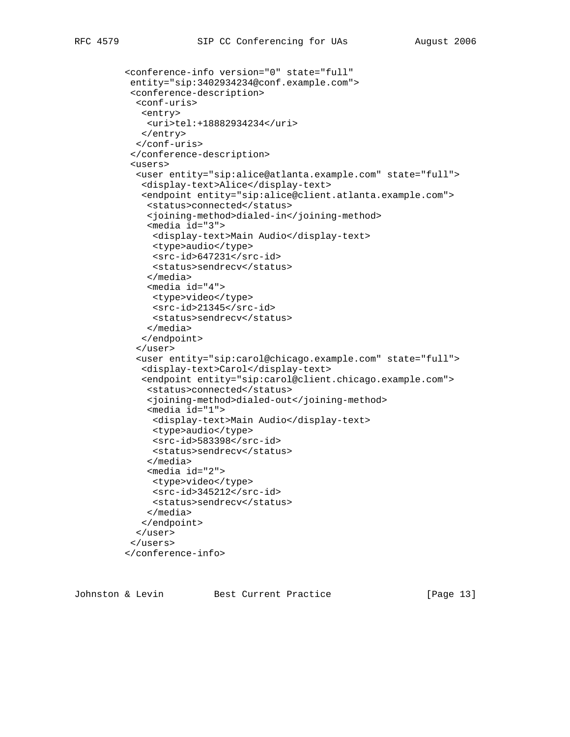```
 <conference-info version="0" state="full"
entity="sip:3402934234@conf.example.com">
<conference-description>
  <conf-uris>
  <entry>
    <uri>tel:+18882934234</uri>
  </entry>
 </conf-uris>
 </conference-description>
<users>
  <user entity="sip:alice@atlanta.example.com" state="full">
  <display-text>Alice</display-text>
   <endpoint entity="sip:alice@client.atlanta.example.com">
    <status>connected</status>
    <joining-method>dialed-in</joining-method>
    <media id="3">
     <display-text>Main Audio</display-text>
     <type>audio</type>
     <src-id>647231</src-id>
     <status>sendrecv</status>
    </media>
    <media id="4">
    <type>video</type>
    <src-id>21345</src-id>
     <status>sendrecv</status>
    </media>
   </endpoint>
  </user>
  <user entity="sip:carol@chicago.example.com" state="full">
   <display-text>Carol</display-text>
  <endpoint entity="sip:carol@client.chicago.example.com">
    <status>connected</status>
    <joining-method>dialed-out</joining-method>
    <media id="1">
     <display-text>Main Audio</display-text>
     <type>audio</type>
     <src-id>583398</src-id>
     <status>sendrecv</status>
    </media>
    <media id="2">
     <type>video</type>
     <src-id>345212</src-id>
     <status>sendrecv</status>
    </media>
   </endpoint>
  </user>
</users>
</conference-info>
```

| Johnston & Levin | Best Current Practice | [Page 13] |
|------------------|-----------------------|-----------|
|------------------|-----------------------|-----------|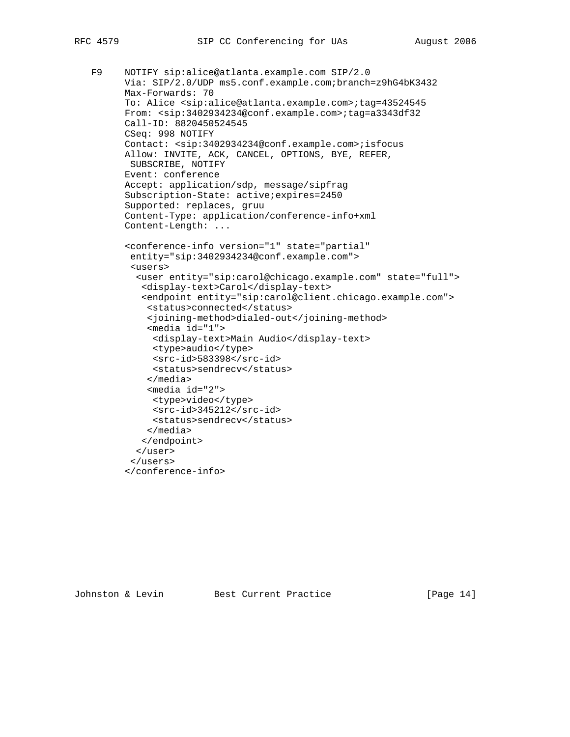```
 F9 NOTIFY sip:alice@atlanta.example.com SIP/2.0
      Via: SIP/2.0/UDP ms5.conf.example.com;branch=z9hG4bK3432
      Max-Forwards: 70
      To: Alice <sip:alice@atlanta.example.com>;tag=43524545
      From: <sip:3402934234@conf.example.com>;tag=a3343df32
      Call-ID: 8820450524545
      CSeq: 998 NOTIFY
      Contact: <sip:3402934234@conf.example.com>;isfocus
      Allow: INVITE, ACK, CANCEL, OPTIONS, BYE, REFER,
      SUBSCRIBE, NOTIFY
      Event: conference
      Accept: application/sdp, message/sipfrag
      Subscription-State: active;expires=2450
      Supported: replaces, gruu
      Content-Type: application/conference-info+xml
      Content-Length: ...
      <conference-info version="1" state="partial"
       entity="sip:3402934234@conf.example.com">
       <users>
        <user entity="sip:carol@chicago.example.com" state="full">
         <display-text>Carol</display-text>
         <endpoint entity="sip:carol@client.chicago.example.com">
          <status>connected</status>
          <joining-method>dialed-out</joining-method>
          <media id="1">
           <display-text>Main Audio</display-text>
           <type>audio</type>
           <src-id>583398</src-id>
           <status>sendrecv</status>
          </media>
          <media id="2">
          <type>video</type>
          <src-id>345212</src-id>
          <status>sendrecv</status>
          </media>
         </endpoint>
        </user>
       </users>
      </conference-info>
```
Johnston & Levin Best Current Practice [Page 14]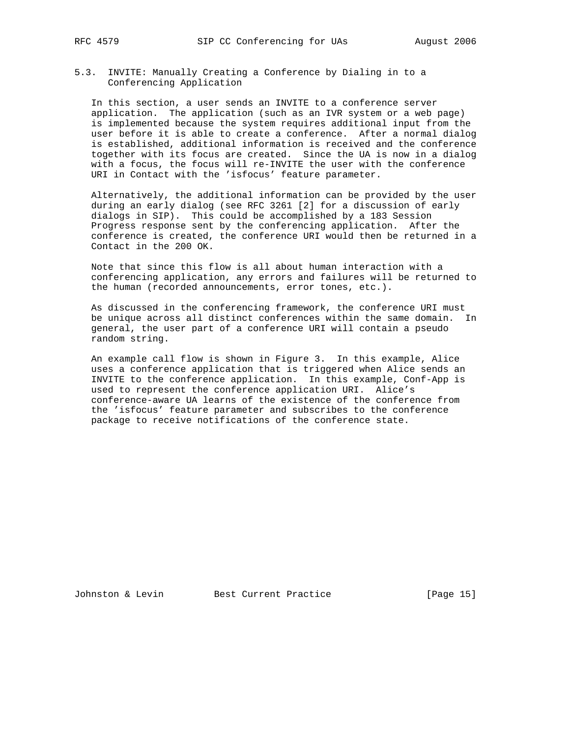5.3. INVITE: Manually Creating a Conference by Dialing in to a Conferencing Application

 In this section, a user sends an INVITE to a conference server application. The application (such as an IVR system or a web page) is implemented because the system requires additional input from the user before it is able to create a conference. After a normal dialog is established, additional information is received and the conference together with its focus are created. Since the UA is now in a dialog with a focus, the focus will re-INVITE the user with the conference URI in Contact with the 'isfocus' feature parameter.

 Alternatively, the additional information can be provided by the user during an early dialog (see RFC 3261 [2] for a discussion of early dialogs in SIP). This could be accomplished by a 183 Session Progress response sent by the conferencing application. After the conference is created, the conference URI would then be returned in a Contact in the 200 OK.

 Note that since this flow is all about human interaction with a conferencing application, any errors and failures will be returned to the human (recorded announcements, error tones, etc.).

 As discussed in the conferencing framework, the conference URI must be unique across all distinct conferences within the same domain. In general, the user part of a conference URI will contain a pseudo random string.

 An example call flow is shown in Figure 3. In this example, Alice uses a conference application that is triggered when Alice sends an INVITE to the conference application. In this example, Conf-App is used to represent the conference application URI. Alice's conference-aware UA learns of the existence of the conference from the 'isfocus' feature parameter and subscribes to the conference package to receive notifications of the conference state.

Johnston & Levin Best Current Practice [Page 15]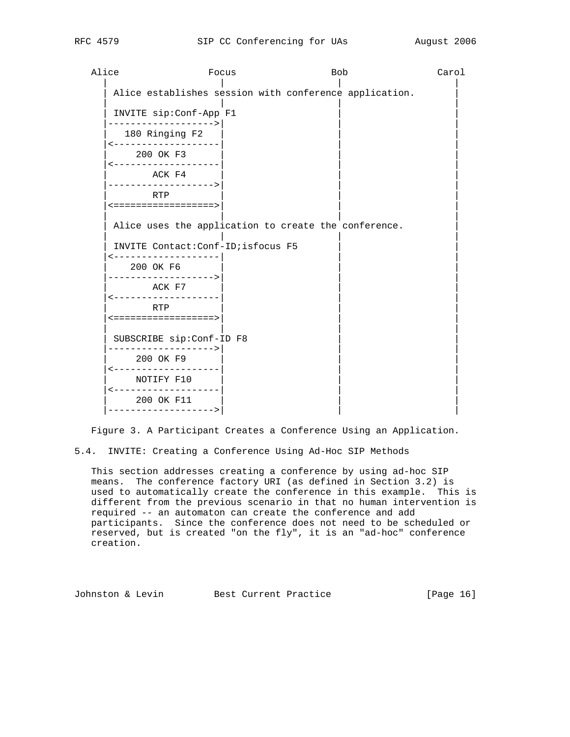Alice Focus Bob Carol | | | | Alice establishes session with conference application. | | | | | INVITE sip:Conf-App F1 | | |------------------->| | | 180 Ringing F2 |<-------------------| | | 200 OK F3 |<-------------------| | | ACK F4 |------------------->| | | | RTP | | | |<==================>| | | | | | | Alice uses the application to create the conference. | | | | | INVITE Contact:Conf-ID;isfocus F5 | | |<-------------------| | | 200 OK F6 |------------------->| | | ACK F7 |<-------------------| | | | RTP | | | |<==================>| | | | | | | SUBSCRIBE sip:Conf-ID F8 |------------------->| | | 200 OK F9 |<-------------------| | | NOTIFY F10 |<-------------------| | | 200 OK F11 |------------------->| | |

Figure 3. A Participant Creates a Conference Using an Application.

5.4. INVITE: Creating a Conference Using Ad-Hoc SIP Methods

 This section addresses creating a conference by using ad-hoc SIP means. The conference factory URI (as defined in Section 3.2) is used to automatically create the conference in this example. This is different from the previous scenario in that no human intervention is required -- an automaton can create the conference and add participants. Since the conference does not need to be scheduled or reserved, but is created "on the fly", it is an "ad-hoc" conference creation.

Johnston & Levin Best Current Practice [Page 16]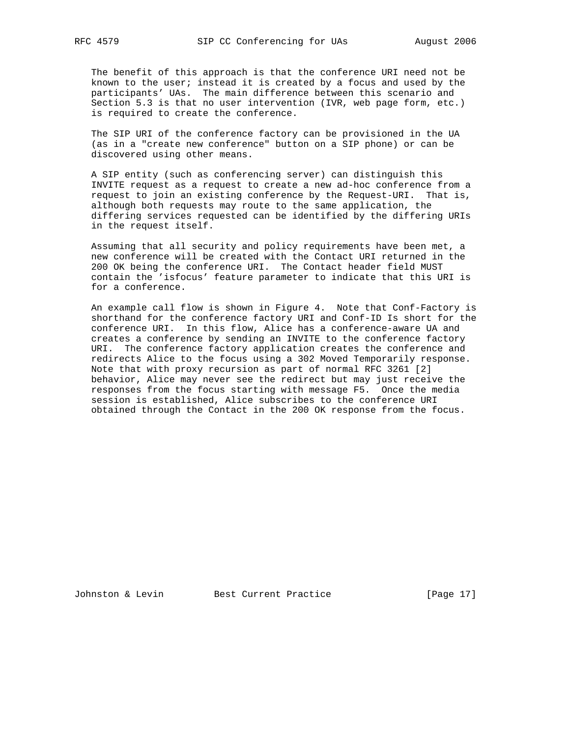The benefit of this approach is that the conference URI need not be known to the user; instead it is created by a focus and used by the participants' UAs. The main difference between this scenario and Section 5.3 is that no user intervention (IVR, web page form, etc.) is required to create the conference.

 The SIP URI of the conference factory can be provisioned in the UA (as in a "create new conference" button on a SIP phone) or can be discovered using other means.

 A SIP entity (such as conferencing server) can distinguish this INVITE request as a request to create a new ad-hoc conference from a request to join an existing conference by the Request-URI. That is, although both requests may route to the same application, the differing services requested can be identified by the differing URIs in the request itself.

 Assuming that all security and policy requirements have been met, a new conference will be created with the Contact URI returned in the 200 OK being the conference URI. The Contact header field MUST contain the 'isfocus' feature parameter to indicate that this URI is for a conference.

 An example call flow is shown in Figure 4. Note that Conf-Factory is shorthand for the conference factory URI and Conf-ID Is short for the conference URI. In this flow, Alice has a conference-aware UA and creates a conference by sending an INVITE to the conference factory URI. The conference factory application creates the conference and redirects Alice to the focus using a 302 Moved Temporarily response. Note that with proxy recursion as part of normal RFC 3261 [2] behavior, Alice may never see the redirect but may just receive the responses from the focus starting with message F5. Once the media session is established, Alice subscribes to the conference URI obtained through the Contact in the 200 OK response from the focus.

Johnston & Levin Best Current Practice [Page 17]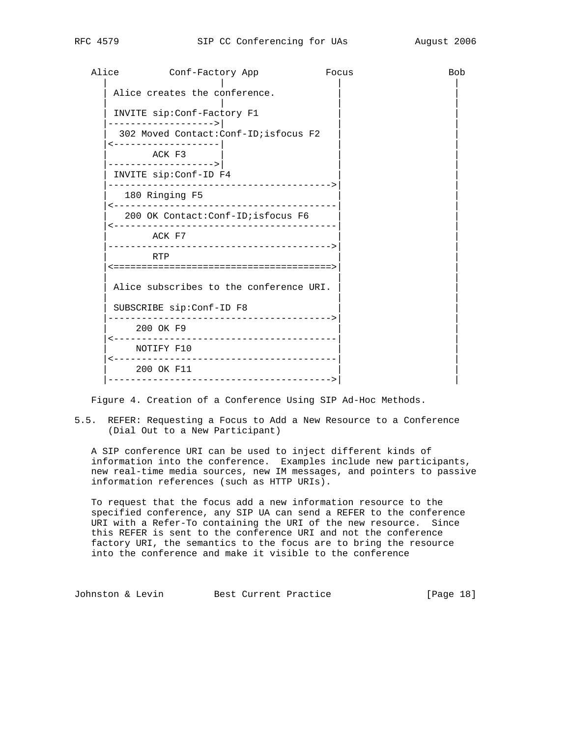| Alice Conf-Factory App                                                             | Focus | <b>Bob</b> |
|------------------------------------------------------------------------------------|-------|------------|
| Alice creates the conference.                                                      |       |            |
| INVITE sip:Conf-Factory F1<br>----------------->                                   |       |            |
| 302 Moved Contact: Conf-ID; isfocus F2                                             |       |            |
| --------------------<br>ACK F3                                                     |       |            |
| -----------------><br>INVITE sip:Conf-ID F4<br>----------------------------------- |       |            |
| 180 Ringing F5<br>______________________________                                   |       |            |
| 200 OK Contact: Conf-ID; isfocus F6                                                |       |            |
| ACK F7                                                                             |       |            |
| <b>RTP</b>                                                                         |       |            |
| Alice subscribes to the conference URI.<br>SUBSCRIBE sip:Conf-ID F8                |       |            |
| 200 OK F9                                                                          |       |            |
| NOTIFY F10                                                                         |       |            |
|                                                                                    |       |            |
| 200 OK F11                                                                         |       |            |

Figure 4. Creation of a Conference Using SIP Ad-Hoc Methods.

5.5. REFER: Requesting a Focus to Add a New Resource to a Conference (Dial Out to a New Participant)

 A SIP conference URI can be used to inject different kinds of information into the conference. Examples include new participants, new real-time media sources, new IM messages, and pointers to passive information references (such as HTTP URIs).

 To request that the focus add a new information resource to the specified conference, any SIP UA can send a REFER to the conference URI with a Refer-To containing the URI of the new resource. Since this REFER is sent to the conference URI and not the conference factory URI, the semantics to the focus are to bring the resource into the conference and make it visible to the conference

Johnston & Levin Best Current Practice [Page 18]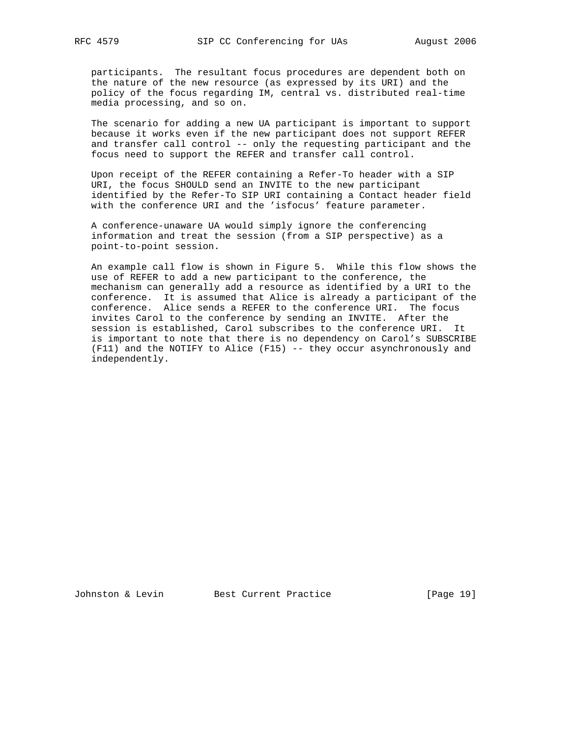participants. The resultant focus procedures are dependent both on the nature of the new resource (as expressed by its URI) and the policy of the focus regarding IM, central vs. distributed real-time media processing, and so on.

 The scenario for adding a new UA participant is important to support because it works even if the new participant does not support REFER and transfer call control -- only the requesting participant and the focus need to support the REFER and transfer call control.

 Upon receipt of the REFER containing a Refer-To header with a SIP URI, the focus SHOULD send an INVITE to the new participant identified by the Refer-To SIP URI containing a Contact header field with the conference URI and the 'isfocus' feature parameter.

 A conference-unaware UA would simply ignore the conferencing information and treat the session (from a SIP perspective) as a point-to-point session.

 An example call flow is shown in Figure 5. While this flow shows the use of REFER to add a new participant to the conference, the mechanism can generally add a resource as identified by a URI to the conference. It is assumed that Alice is already a participant of the conference. Alice sends a REFER to the conference URI. The focus invites Carol to the conference by sending an INVITE. After the session is established, Carol subscribes to the conference URI. It is important to note that there is no dependency on Carol's SUBSCRIBE (F11) and the NOTIFY to Alice (F15) -- they occur asynchronously and independently.

Johnston & Levin Best Current Practice [Page 19]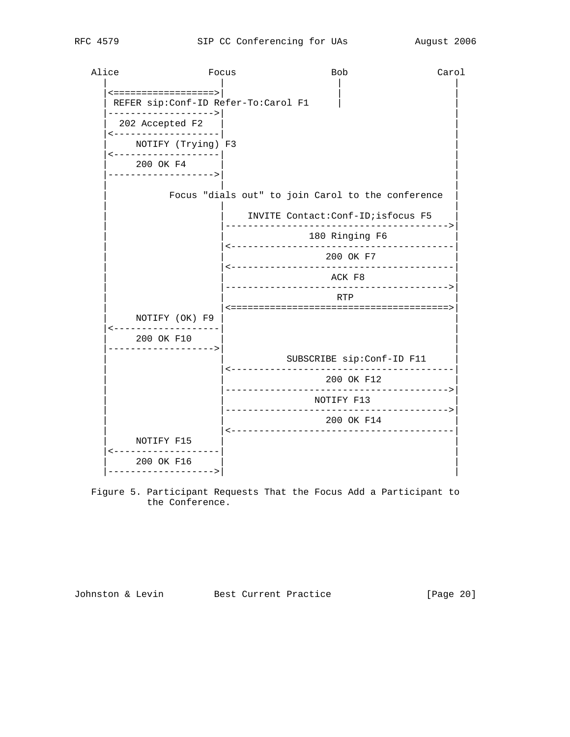Alice Focus Bob Carol | | | | |<==================>| | | REFER sip:Conf-ID Refer-To:Carol F1 |------------------->| | 202 Accepted F2 |<-------------------| | NOTIFY (Trying) F3 |<-------------------| | 200 OK F4 |------------------->| | | | | Focus "dials out" to join Carol to the conference | | | | | INVITE Contact:Conf-ID;isfocus F5 | | |---------------------------------------->| 180 Ringing F6 | |<----------------------------------------| 200 OK F7 | |<----------------------------------------| ACK F8 | |---------------------------------------->| | | RTP | | |<=======================================>| NOTIFY (OK) F9 |<-------------------| | 200 OK F10 |------------------->| | | | SUBSCRIBE sip:Conf-ID F11 | | |<----------------------------------------| 200 OK F12 | |---------------------------------------->| NOTIFY F13 | |---------------------------------------->| 200 OK F14 | |<----------------------------------------| NOTIFY F15 |<-------------------| | 200 OK F16 |------------------->| |

 Figure 5. Participant Requests That the Focus Add a Participant to the Conference.

Johnston & Levin Best Current Practice [Page 20]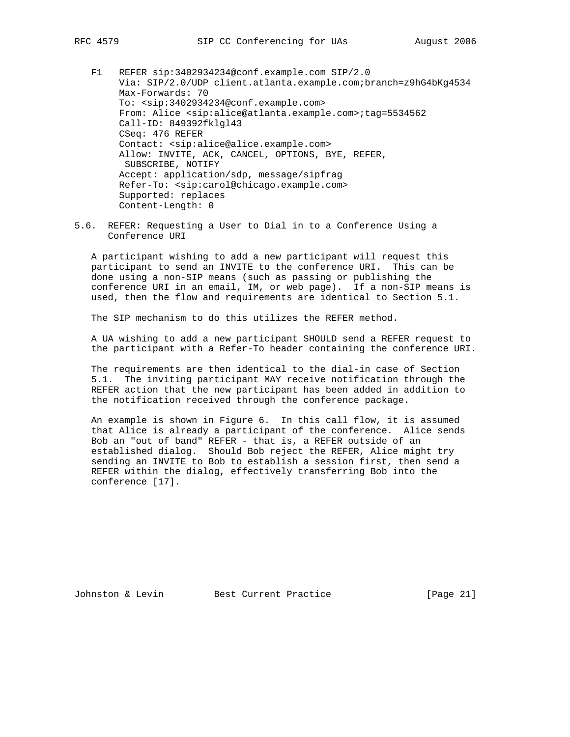- F1 REFER sip:3402934234@conf.example.com SIP/2.0 Via: SIP/2.0/UDP client.atlanta.example.com;branch=z9hG4bKg4534 Max-Forwards: 70 To: <sip:3402934234@conf.example.com> From: Alice <sip:alice@atlanta.example.com>;tag=5534562 Call-ID: 849392fklgl43 CSeq: 476 REFER Contact: <sip:alice@alice.example.com> Allow: INVITE, ACK, CANCEL, OPTIONS, BYE, REFER, SUBSCRIBE, NOTIFY Accept: application/sdp, message/sipfrag Refer-To: <sip:carol@chicago.example.com> Supported: replaces Content-Length: 0
- 5.6. REFER: Requesting a User to Dial in to a Conference Using a Conference URI

 A participant wishing to add a new participant will request this participant to send an INVITE to the conference URI. This can be done using a non-SIP means (such as passing or publishing the conference URI in an email, IM, or web page). If a non-SIP means is used, then the flow and requirements are identical to Section 5.1.

The SIP mechanism to do this utilizes the REFER method.

 A UA wishing to add a new participant SHOULD send a REFER request to the participant with a Refer-To header containing the conference URI.

 The requirements are then identical to the dial-in case of Section 5.1. The inviting participant MAY receive notification through the REFER action that the new participant has been added in addition to the notification received through the conference package.

 An example is shown in Figure 6. In this call flow, it is assumed that Alice is already a participant of the conference. Alice sends Bob an "out of band" REFER - that is, a REFER outside of an established dialog. Should Bob reject the REFER, Alice might try sending an INVITE to Bob to establish a session first, then send a REFER within the dialog, effectively transferring Bob into the conference [17].

Johnston & Levin Best Current Practice [Page 21]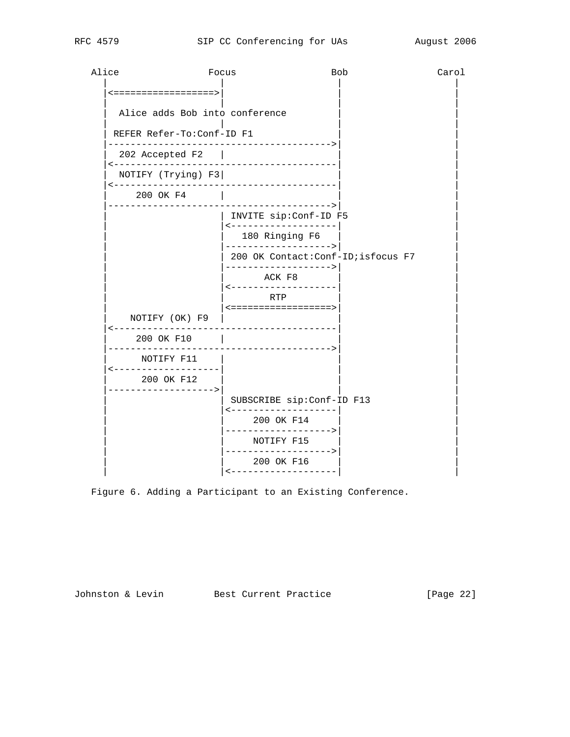Alice Focus Bob Carol | | | | |<==================>| | | | | | | Alice adds Bob into conference | | | | REFER Refer-To:Conf-ID F1 |---------------------------------------->| | | 202 Accepted F2 | | | |<----------------------------------------| | | NOTIFY (Trying) F3| | | |<----------------------------------------| | 200 OK F4 |---------------------------------------->| | | INVITE sip:Conf-ID F5 | <-------------------| 180 Ringing F6 | |------------------->| | | 200 OK Contact: Conf-ID; isfocus F7 | |------------------->| | ACK F8 | |<-------------------| | | | RTP | | | <=================> NOTIFY (OK) F9 | |<----------------------------------------| | | 200 OK F10 | | | |---------------------------------------->| | NOTIFY F11 |<-------------------| | | 200 OK F12 |------------------->| | | SUBSCRIBE sip:Conf-ID F13 | <------------------200 OK F14 | |------------------->| | NOTIFY F15 | |------------------->| | 200 OK F16 | <------------------|



Johnston & Levin Best Current Practice [Page 22]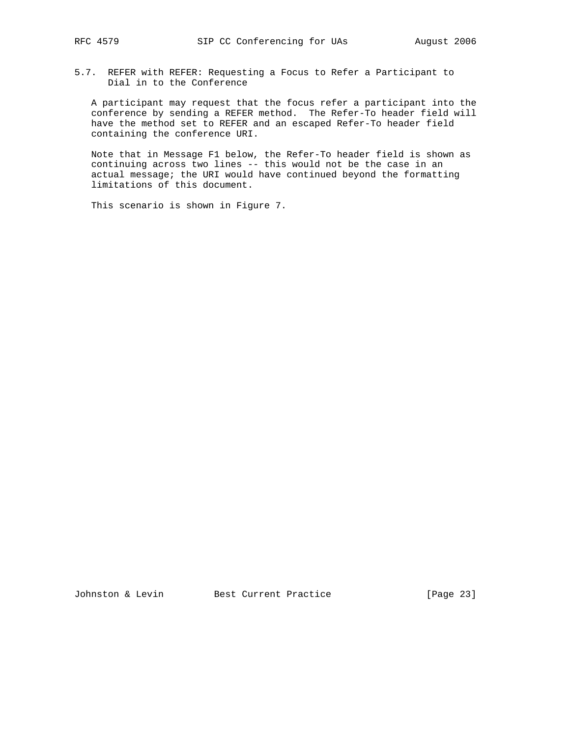5.7. REFER with REFER: Requesting a Focus to Refer a Participant to Dial in to the Conference

 A participant may request that the focus refer a participant into the conference by sending a REFER method. The Refer-To header field will have the method set to REFER and an escaped Refer-To header field containing the conference URI.

 Note that in Message F1 below, the Refer-To header field is shown as continuing across two lines -- this would not be the case in an actual message; the URI would have continued beyond the formatting limitations of this document.

This scenario is shown in Figure 7.

Johnston & Levin Best Current Practice [Page 23]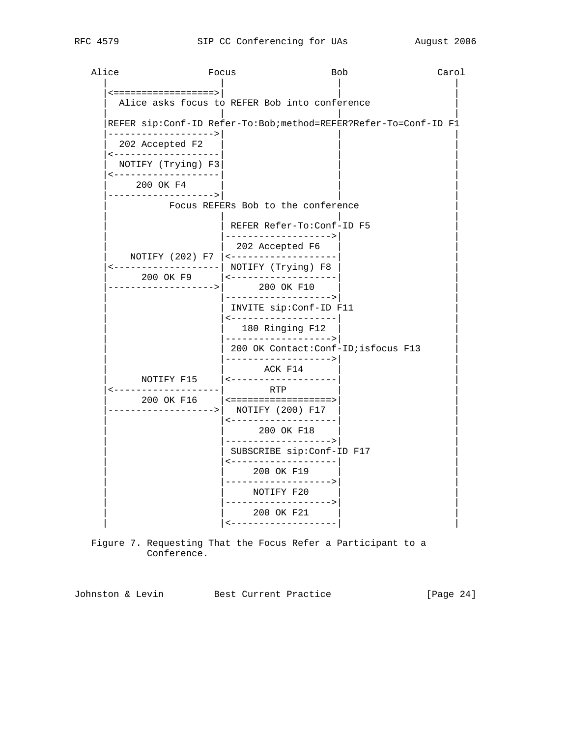|  | Alice                                                                               | Focus                               |                                                   | <b>Bob</b>                         | Carol |
|--|-------------------------------------------------------------------------------------|-------------------------------------|---------------------------------------------------|------------------------------------|-------|
|  | <==================> <br>Alice asks focus to REFER Bob into conference              |                                     |                                                   |                                    |       |
|  | REFER sip:Conf-ID Refer-To:Bob;method=REFER?Refer-To=Conf-ID F1<br>---------------> |                                     |                                                   |                                    |       |
|  | 202 Accepted F2<br><-------------------                                             |                                     |                                                   |                                    |       |
|  | NOTIFY (Trying) F3<br>-------------------                                           |                                     |                                                   |                                    |       |
|  | 200 OK F4<br>------------------->                                                   |                                     |                                                   |                                    |       |
|  |                                                                                     |                                     | Focus REFERs Bob to the conference                |                                    |       |
|  |                                                                                     |                                     | REFER Refer-To:Conf-ID F5<br>-------------------> |                                    |       |
|  | NOTIFY (202) F7  <-------------------                                               |                                     | 202 Accepted F6                                   |                                    |       |
|  | $\leftarrow - - -$<br>200 OK F9                                                     | ---------------  NOTIFY (Trying) F8 |                                                   |                                    |       |
|  | ------------------>                                                                 |                                     | 200 OK F10<br>------------------->                |                                    |       |
|  |                                                                                     |                                     | INVITE sip:Conf-ID F11<br>-------------------     |                                    |       |
|  |                                                                                     |                                     | 180 Ringing F12<br>------------------->           |                                    |       |
|  |                                                                                     |                                     | ------------------->                              | 200 OK Contact:Conf-ID;isfocus F13 |       |
|  | NOTIFY F15 $ $ <--------------------                                                |                                     | ACK F14                                           |                                    |       |
|  | <-------------------                                                                |                                     | RTP                                               |                                    |       |
|  | 200 OK F16  <===================> <br>------------------->   NOTIFY (200) F17       |                                     |                                                   |                                    |       |
|  |                                                                                     |                                     | <-------------------<br>200 OK F18                |                                    |       |
|  |                                                                                     |                                     | ------------------><br>SUBSCRIBE sip:Conf-ID F17  |                                    |       |
|  |                                                                                     |                                     | <-------------------<br>200 OK F19                |                                    |       |
|  |                                                                                     |                                     | -------------------><br>NOTIFY F20                |                                    |       |
|  |                                                                                     |                                     | -------------------><br>200 OK F21                |                                    |       |
|  |                                                                                     |                                     | -------------------                               |                                    |       |

 Figure 7. Requesting That the Focus Refer a Participant to a Conference.

Johnston & Levin Best Current Practice [Page 24]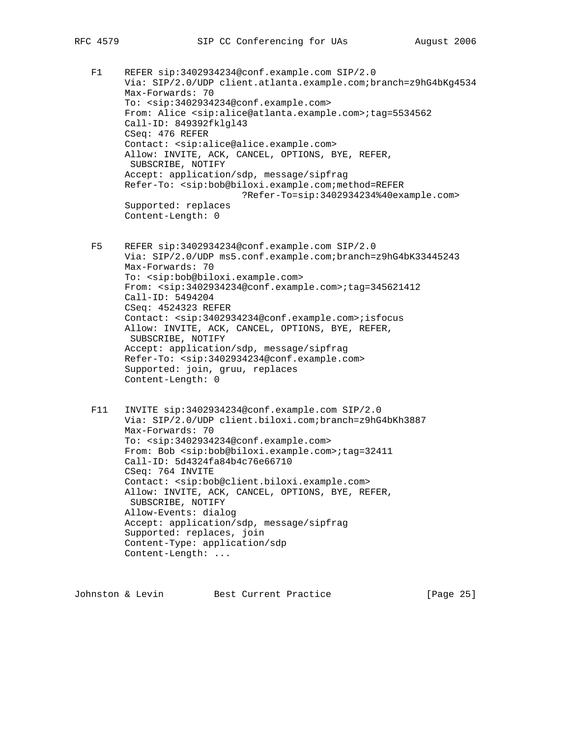F1 REFER sip:3402934234@conf.example.com SIP/2.0 Via: SIP/2.0/UDP client.atlanta.example.com;branch=z9hG4bKg4534 Max-Forwards: 70 To: <sip:3402934234@conf.example.com> From: Alice <sip:alice@atlanta.example.com>;tag=5534562 Call-ID: 849392fklgl43 CSeq: 476 REFER Contact: <sip:alice@alice.example.com> Allow: INVITE, ACK, CANCEL, OPTIONS, BYE, REFER, SUBSCRIBE, NOTIFY Accept: application/sdp, message/sipfrag Refer-To: <sip:bob@biloxi.example.com;method=REFER ?Refer-To=sip:3402934234%40example.com> Supported: replaces Content-Length: 0

 F5 REFER sip:3402934234@conf.example.com SIP/2.0 Via: SIP/2.0/UDP ms5.conf.example.com;branch=z9hG4bK33445243 Max-Forwards: 70 To: <sip:bob@biloxi.example.com> From: <sip:3402934234@conf.example.com>;tag=345621412 Call-ID: 5494204 CSeq: 4524323 REFER Contact: <sip:3402934234@conf.example.com>;isfocus Allow: INVITE, ACK, CANCEL, OPTIONS, BYE, REFER, SUBSCRIBE, NOTIFY Accept: application/sdp, message/sipfrag Refer-To: <sip:3402934234@conf.example.com> Supported: join, gruu, replaces Content-Length: 0

 F11 INVITE sip:3402934234@conf.example.com SIP/2.0 Via: SIP/2.0/UDP client.biloxi.com;branch=z9hG4bKh3887 Max-Forwards: 70 To: <sip:3402934234@conf.example.com> From: Bob <sip:bob@biloxi.example.com>;tag=32411 Call-ID: 5d4324fa84b4c76e66710 CSeq: 764 INVITE Contact: <sip:bob@client.biloxi.example.com> Allow: INVITE, ACK, CANCEL, OPTIONS, BYE, REFER, SUBSCRIBE, NOTIFY Allow-Events: dialog Accept: application/sdp, message/sipfrag Supported: replaces, join Content-Type: application/sdp Content-Length: ...

Johnston & Levin Best Current Practice [Page 25]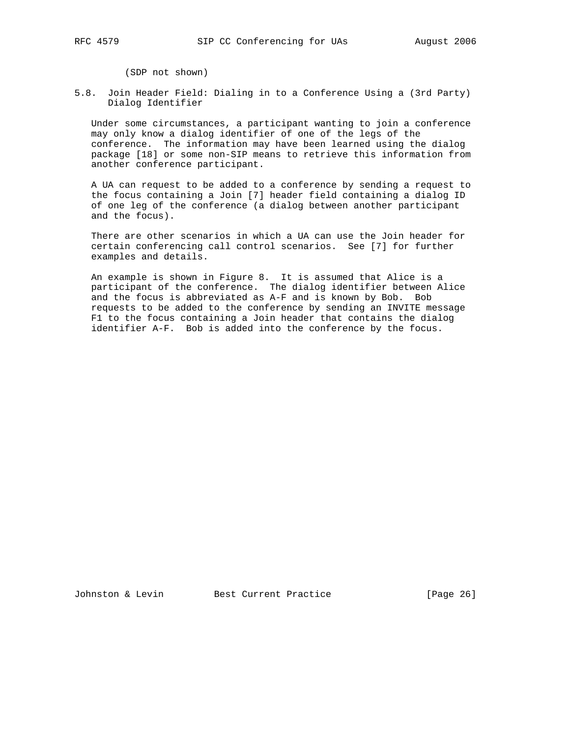(SDP not shown)

5.8. Join Header Field: Dialing in to a Conference Using a (3rd Party) Dialog Identifier

 Under some circumstances, a participant wanting to join a conference may only know a dialog identifier of one of the legs of the conference. The information may have been learned using the dialog package [18] or some non-SIP means to retrieve this information from another conference participant.

 A UA can request to be added to a conference by sending a request to the focus containing a Join [7] header field containing a dialog ID of one leg of the conference (a dialog between another participant and the focus).

 There are other scenarios in which a UA can use the Join header for certain conferencing call control scenarios. See [7] for further examples and details.

 An example is shown in Figure 8. It is assumed that Alice is a participant of the conference. The dialog identifier between Alice and the focus is abbreviated as A-F and is known by Bob. Bob requests to be added to the conference by sending an INVITE message F1 to the focus containing a Join header that contains the dialog identifier A-F. Bob is added into the conference by the focus.

Johnston & Levin Best Current Practice [Page 26]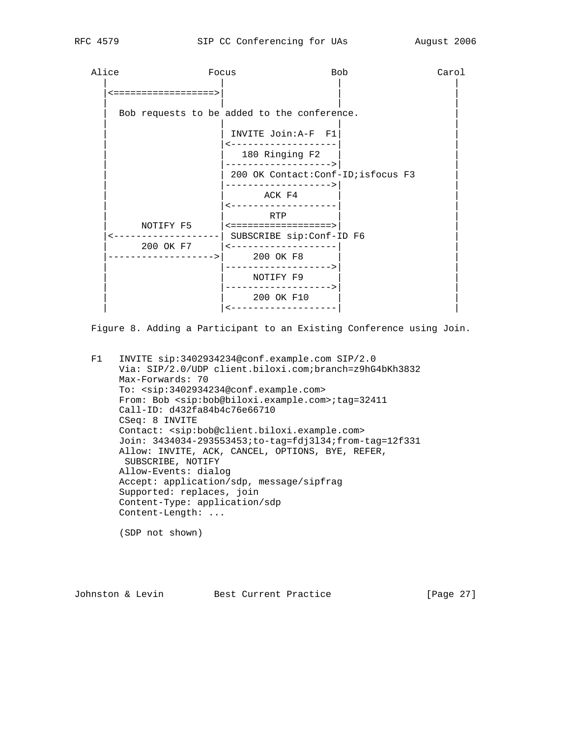| Alice                                                             | Focus | Bob                                                         | Carol |
|-------------------------------------------------------------------|-------|-------------------------------------------------------------|-------|
| <==================>                                              |       |                                                             |       |
| Bob requests to be added to the conference.                       |       |                                                             |       |
|                                                                   |       | INVITE Join: A-F F1                                         |       |
|                                                                   |       | 180 Ringing F2<br>---------------                           |       |
|                                                                   |       | 200 OK Contact: Conf-ID; isfocus F3<br>-------------------- |       |
|                                                                   |       | ACK F4<br>-------------------                               |       |
| NOTIFY F5 $ $ <===================>                               |       | RTP<br>----------------  SUBSCRIBE sip:Conf-ID F6           |       |
| 200 OK F7   <------------------<br>------------------>  200 OK F8 |       |                                                             |       |
|                                                                   |       | NOTIFY F9<br>-------------->                                |       |
|                                                                   |       | 200 OK F10                                                  |       |
|                                                                   |       |                                                             |       |

Figure 8. Adding a Participant to an Existing Conference using Join.

 F1 INVITE sip:3402934234@conf.example.com SIP/2.0 Via: SIP/2.0/UDP client.biloxi.com;branch=z9hG4bKh3832 Max-Forwards: 70 To: <sip:3402934234@conf.example.com> From: Bob <sip:bob@biloxi.example.com>;tag=32411 Call-ID: d432fa84b4c76e66710 CSeq: 8 INVITE Contact: <sip:bob@client.biloxi.example.com> Join: 3434034-293553453;to-tag=fdj3l34;from-tag=12f331 Allow: INVITE, ACK, CANCEL, OPTIONS, BYE, REFER, SUBSCRIBE, NOTIFY Allow-Events: dialog Accept: application/sdp, message/sipfrag Supported: replaces, join Content-Type: application/sdp Content-Length: ...

(SDP not shown)

Johnston & Levin Best Current Practice [Page 27]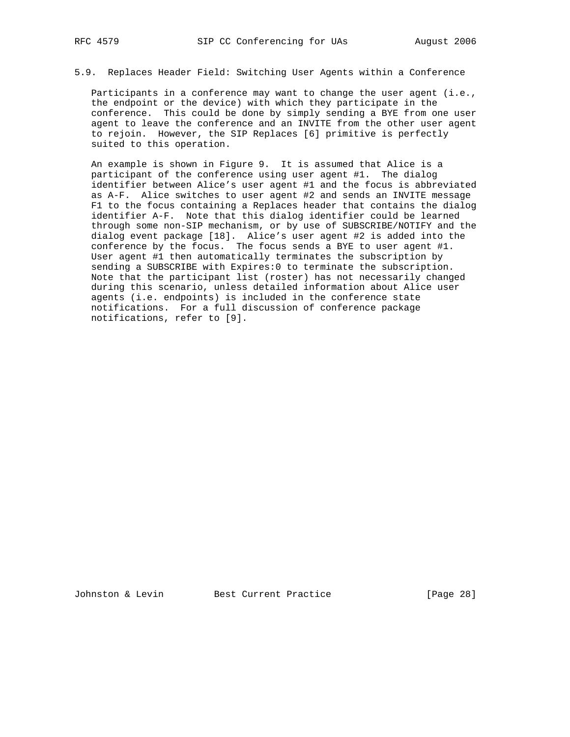## 5.9. Replaces Header Field: Switching User Agents within a Conference

Participants in a conference may want to change the user agent (i.e., the endpoint or the device) with which they participate in the conference. This could be done by simply sending a BYE from one user agent to leave the conference and an INVITE from the other user agent to rejoin. However, the SIP Replaces [6] primitive is perfectly suited to this operation.

 An example is shown in Figure 9. It is assumed that Alice is a participant of the conference using user agent #1. The dialog identifier between Alice's user agent #1 and the focus is abbreviated as A-F. Alice switches to user agent #2 and sends an INVITE message F1 to the focus containing a Replaces header that contains the dialog identifier A-F. Note that this dialog identifier could be learned through some non-SIP mechanism, or by use of SUBSCRIBE/NOTIFY and the dialog event package [18]. Alice's user agent #2 is added into the conference by the focus. The focus sends a BYE to user agent #1. User agent #1 then automatically terminates the subscription by sending a SUBSCRIBE with Expires:0 to terminate the subscription. Note that the participant list (roster) has not necessarily changed during this scenario, unless detailed information about Alice user agents (i.e. endpoints) is included in the conference state notifications. For a full discussion of conference package notifications, refer to [9].

Johnston & Levin Best Current Practice [Page 28]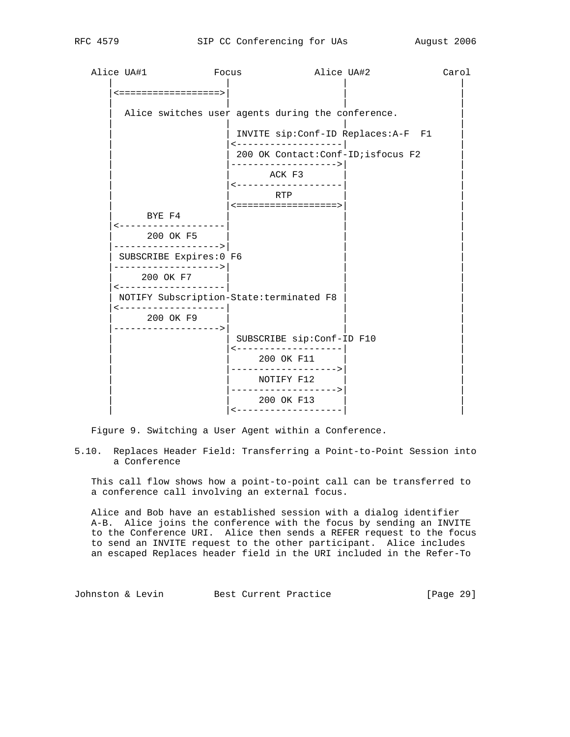|  | Alice UA#1                                                            | Focus |                                                   | Alice UA#2                         | Carol |
|--|-----------------------------------------------------------------------|-------|---------------------------------------------------|------------------------------------|-------|
|  | <==================>                                                  |       |                                                   |                                    |       |
|  |                                                                       |       | Alice switches user agents during the conference. |                                    |       |
|  |                                                                       |       | <-------------------                              | INVITE sip:Conf-ID Replaces:A-F F1 |       |
|  |                                                                       |       | 200 OK Contact: Conf-ID; isfocus F2               |                                    |       |
|  |                                                                       |       | ACK F3<br>--------------------                    |                                    |       |
|  |                                                                       |       | RTP                                               |                                    |       |
|  | BYE F4<br>------------------                                          |       | <==================>                              |                                    |       |
|  | 200 OK F5                                                             |       |                                                   |                                    |       |
|  | ------------------><br>SUBSCRIBE Expires: 0 F6<br>------------------> |       |                                                   |                                    |       |
|  | 200 OK F7<br>___________________                                      |       |                                                   |                                    |       |
|  |                                                                       |       | NOTIFY Subscription-State: terminated F8          |                                    |       |
|  | ---------------<br>200 OK F9                                          |       |                                                   |                                    |       |
|  | ------------------>                                                   |       | SUBSCRIBE sip:Conf-ID F10<br>-----------------    |                                    |       |
|  |                                                                       |       | 200 OK F11                                        |                                    |       |
|  |                                                                       |       | --------------------><br>NOTIFY F12               |                                    |       |
|  |                                                                       |       | --------------------><br>200 OK F13               |                                    |       |
|  |                                                                       |       | <-------------------                              |                                    |       |

Figure 9. Switching a User Agent within a Conference.

5.10. Replaces Header Field: Transferring a Point-to-Point Session into a Conference

 This call flow shows how a point-to-point call can be transferred to a conference call involving an external focus.

 Alice and Bob have an established session with a dialog identifier A-B. Alice joins the conference with the focus by sending an INVITE to the Conference URI. Alice then sends a REFER request to the focus to send an INVITE request to the other participant. Alice includes an escaped Replaces header field in the URI included in the Refer-To

Johnston & Levin Best Current Practice [Page 29]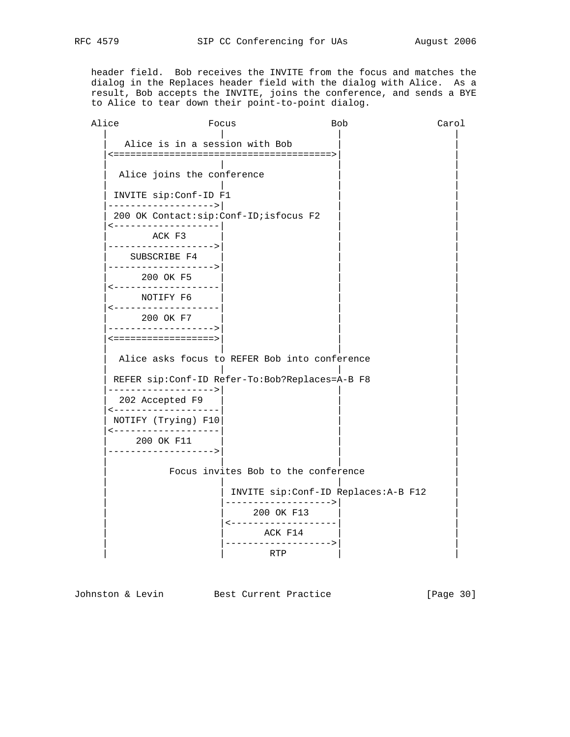header field. Bob receives the INVITE from the focus and matches the dialog in the Replaces header field with the dialog with Alice. As a result, Bob accepts the INVITE, joins the conference, and sends a BYE to Alice to tear down their point-to-point dialog.

 Alice Focus Bob Carol | | | | Alice is in a session with Bob |<=======================================>| | | | | | Alice joins the conference | | | | INVITE sip:Conf-ID F1 |------------------->| | | 200 OK Contact:sip:Conf-ID;isfocus F2 |<-------------------| | | ACK F3 |------------------->| | | SUBSCRIBE F4 |------------------->| | | 200 OK F5 |<-------------------| | | NOTIFY F6 |<-------------------| | | 200 OK F7 |------------------->| | | |<==================>| | | | | | | Alice asks focus to REFER Bob into conference | | | | | REFER sip:Conf-ID Refer-To:Bob?Replaces=A-B F8 | |------------------->| | | 202 Accepted F9 |<-------------------| | | NOTIFY (Trying) F10 |<-------------------| | | 200 OK F11 |------------------->| | | | | | | Focus invites Bob to the conference | | | | | | INVITE sip:Conf-ID Replaces:A-B F12 | | |------------------->| | 200 OK F13 | |<-------------------| | ACK F14 | |------------------->| |  $RTP$ 

Johnston & Levin Best Current Practice [Page 30]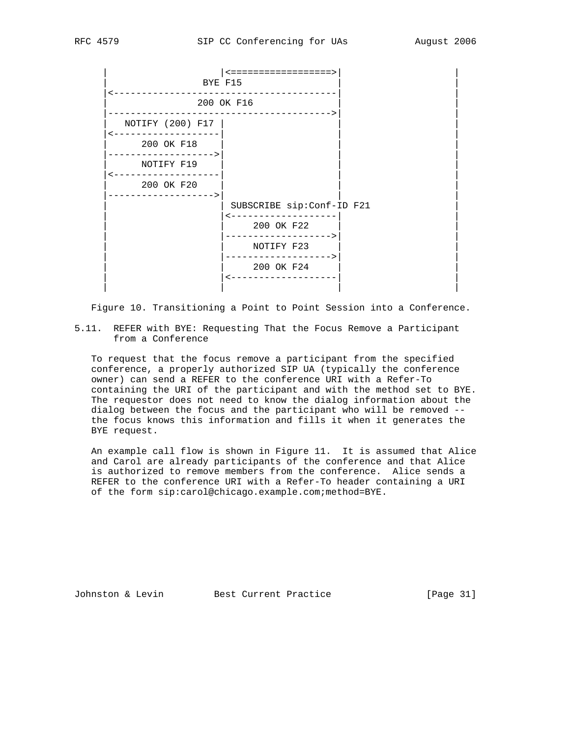| BYE F15               | =================                |  |
|-----------------------|----------------------------------|--|
|                       | 200 OK F16                       |  |
| NOTIFY (200) F17      |                                  |  |
| 200 OK F18            |                                  |  |
| ------><br>NOTIFY F19 |                                  |  |
| 200 OK F20            |                                  |  |
|                       | SUBSCRIBE sip:Conf-ID F21        |  |
|                       | 200 OK F22<br>-----------------> |  |
|                       | NOTIFY F23                       |  |
|                       | -----><br>200 OK F24             |  |
|                       | $\lt - - - -$                    |  |

Figure 10. Transitioning a Point to Point Session into a Conference.

## 5.11. REFER with BYE: Requesting That the Focus Remove a Participant from a Conference

 To request that the focus remove a participant from the specified conference, a properly authorized SIP UA (typically the conference owner) can send a REFER to the conference URI with a Refer-To containing the URI of the participant and with the method set to BYE. The requestor does not need to know the dialog information about the dialog between the focus and the participant who will be removed - the focus knows this information and fills it when it generates the BYE request.

 An example call flow is shown in Figure 11. It is assumed that Alice and Carol are already participants of the conference and that Alice is authorized to remove members from the conference. Alice sends a REFER to the conference URI with a Refer-To header containing a URI of the form sip:carol@chicago.example.com;method=BYE.

Johnston & Levin Best Current Practice [Page 31]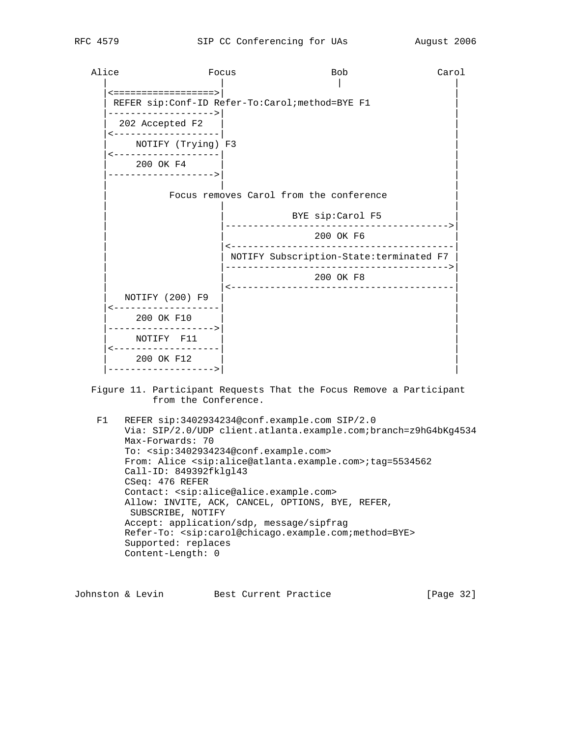| Alice      |                                                           | Focus | <b>Bob</b>                                                                                              | Carol |
|------------|-----------------------------------------------------------|-------|---------------------------------------------------------------------------------------------------------|-------|
|            | <=================><br>------------------                 |       | REFER sip:Conf-ID Refer-To:Carol;method=BYE F1                                                          |       |
|            | 202 Accepted F2<br>--------------------                   |       |                                                                                                         |       |
|            | NOTIFY (Trying) F3                                        |       |                                                                                                         |       |
|            | <-------------------<br>200 OK F4<br>-------------------> |       |                                                                                                         |       |
|            |                                                           |       | Focus removes Carol from the conference                                                                 |       |
|            |                                                           |       | BYE sip: Carol F5<br>________________________________                                                   |       |
|            |                                                           |       | 200 OK F6                                                                                               |       |
|            |                                                           |       | --------------------<br>NOTIFY Subscription-State: terminated F7<br>___________________________________ |       |
|            |                                                           |       | 200 OK F8                                                                                               |       |
|            | NOTIFY (200) F9<br>_______________                        |       | -------------------------------------                                                                   |       |
|            | 200 OK F10                                                |       |                                                                                                         |       |
|            | ------------------><br>NOTIFY F11                         |       |                                                                                                         |       |
| 200 OK F12 | --------------------<br>------------------->              |       |                                                                                                         |       |
|            |                                                           |       |                                                                                                         |       |

 Figure 11. Participant Requests That the Focus Remove a Participant from the Conference.

 F1 REFER sip:3402934234@conf.example.com SIP/2.0 Via: SIP/2.0/UDP client.atlanta.example.com;branch=z9hG4bKg4534 Max-Forwards: 70 To: <sip:3402934234@conf.example.com> From: Alice <sip:alice@atlanta.example.com>;tag=5534562 Call-ID: 849392fklgl43 CSeq: 476 REFER Contact: <sip:alice@alice.example.com> Allow: INVITE, ACK, CANCEL, OPTIONS, BYE, REFER, SUBSCRIBE, NOTIFY Accept: application/sdp, message/sipfrag Refer-To: <sip:carol@chicago.example.com;method=BYE> Supported: replaces Content-Length: 0

Johnston & Levin Best Current Practice [Page 32]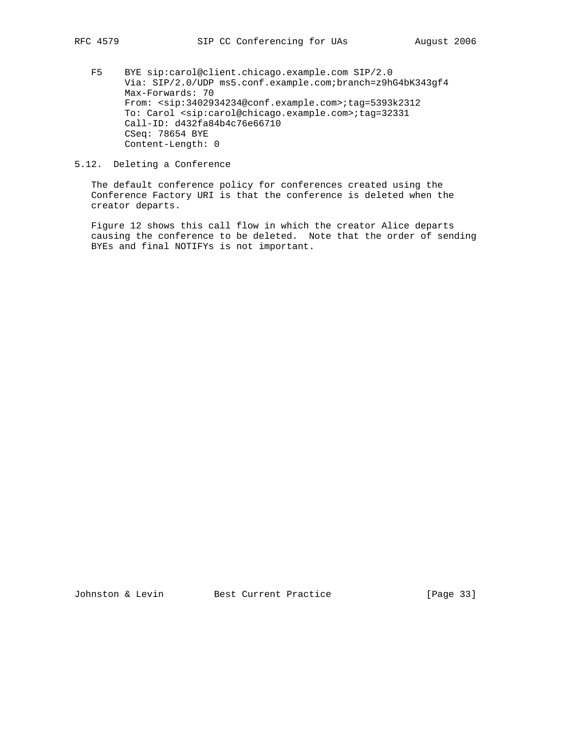- F5 BYE sip:carol@client.chicago.example.com SIP/2.0 Via: SIP/2.0/UDP ms5.conf.example.com;branch=z9hG4bK343gf4 Max-Forwards: 70 From: <sip:3402934234@conf.example.com>;tag=5393k2312 To: Carol <sip:carol@chicago.example.com>;tag=32331 Call-ID: d432fa84b4c76e66710 CSeq: 78654 BYE Content-Length: 0
- 5.12. Deleting a Conference

 The default conference policy for conferences created using the Conference Factory URI is that the conference is deleted when the creator departs.

 Figure 12 shows this call flow in which the creator Alice departs causing the conference to be deleted. Note that the order of sending BYEs and final NOTIFYs is not important.

Johnston & Levin Best Current Practice [Page 33]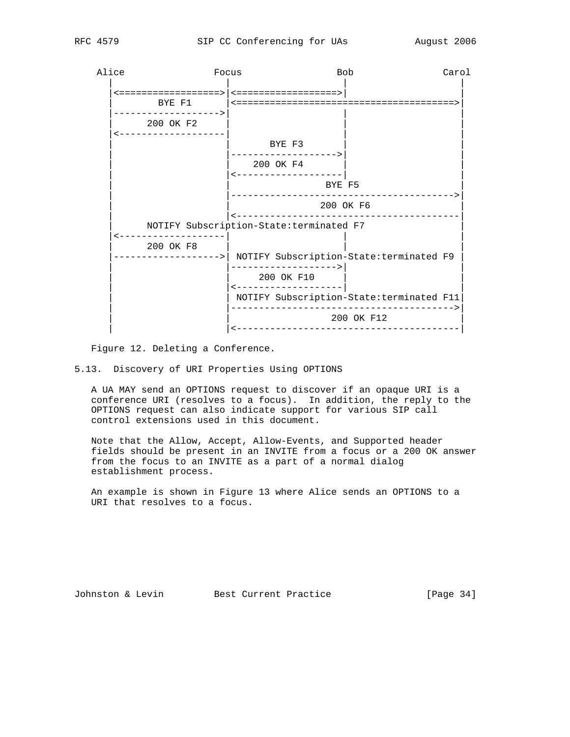| Alice |                                  | Focus |                                                         | Bob                                                        | Carol |
|-------|----------------------------------|-------|---------------------------------------------------------|------------------------------------------------------------|-------|
|       | BYE $F1$                         |       |                                                         |                                                            |       |
|       | 200 OK F2<br>------------------- |       |                                                         |                                                            |       |
|       |                                  |       | BYE F3<br>---------------->                             |                                                            |       |
|       |                                  |       | 200 OK F4<br><-------------------                       |                                                            |       |
|       |                                  |       | BYE F5                                                  | -------------------------------                            |       |
|       |                                  |       |                                                         | 200 OK F6                                                  |       |
|       |                                  |       | NOTIFY Subscription-State: terminated F7                | ________________________________                           |       |
|       | 200 OK F8                        |       | -------------------<br>200 OK F10<br>------------------ | -------------->   NOTIFY Subscription-State: terminated F9 |       |
|       |                                  |       |                                                         | NOTIFY Subscription-State: terminated F11<br>200 OK F12    |       |

Figure 12. Deleting a Conference.

# 5.13. Discovery of URI Properties Using OPTIONS

 A UA MAY send an OPTIONS request to discover if an opaque URI is a conference URI (resolves to a focus). In addition, the reply to the OPTIONS request can also indicate support for various SIP call control extensions used in this document.

 Note that the Allow, Accept, Allow-Events, and Supported header fields should be present in an INVITE from a focus or a 200 OK answer from the focus to an INVITE as a part of a normal dialog establishment process.

 An example is shown in Figure 13 where Alice sends an OPTIONS to a URI that resolves to a focus.

Johnston & Levin Best Current Practice [Page 34]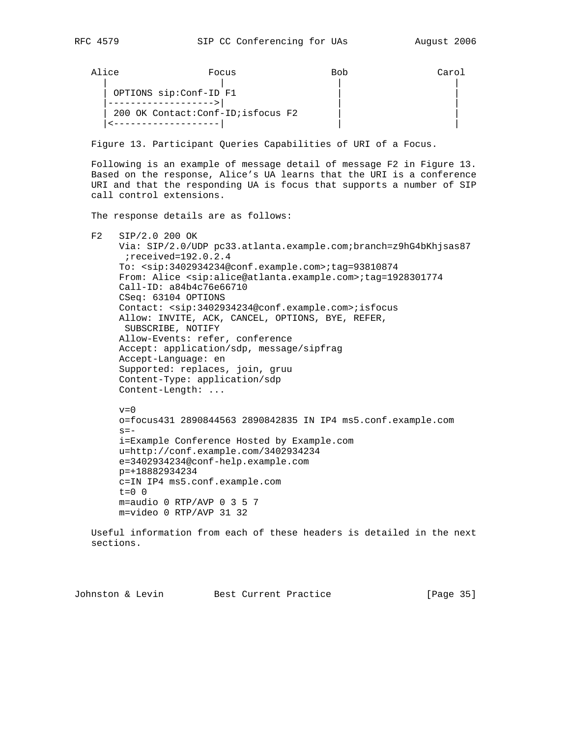Alice Focus Bob Carol | | | | | OPTIONS sip:Conf-ID F1 | | |------------------->| | | 200 OK Contact: Conf-ID; isfocus F2 |<-------------------| | |

Figure 13. Participant Queries Capabilities of URI of a Focus.

 Following is an example of message detail of message F2 in Figure 13. Based on the response, Alice's UA learns that the URI is a conference URI and that the responding UA is focus that supports a number of SIP call control extensions.

The response details are as follows:

 F2 SIP/2.0 200 OK Via: SIP/2.0/UDP pc33.atlanta.example.com;branch=z9hG4bKhjsas87 ;received=192.0.2.4 To: <sip:3402934234@conf.example.com>;tag=93810874 From: Alice <sip:alice@atlanta.example.com>;tag=1928301774 Call-ID: a84b4c76e66710 CSeq: 63104 OPTIONS Contact: <sip:3402934234@conf.example.com>;isfocus Allow: INVITE, ACK, CANCEL, OPTIONS, BYE, REFER, SUBSCRIBE, NOTIFY Allow-Events: refer, conference Accept: application/sdp, message/sipfrag Accept-Language: en Supported: replaces, join, gruu Content-Type: application/sdp Content-Length: ...  $v=0$ 

 o=focus431 2890844563 2890842835 IN IP4 ms5.conf.example.com  $s=$  i=Example Conference Hosted by Example.com u=http://conf.example.com/3402934234 e=3402934234@conf-help.example.com p=+18882934234 c=IN IP4 ms5.conf.example.com  $t=0$  0 m=audio 0 RTP/AVP 0 3 5 7 m=video 0 RTP/AVP 31 32

 Useful information from each of these headers is detailed in the next sections.

Johnston & Levin Best Current Practice [Page 35]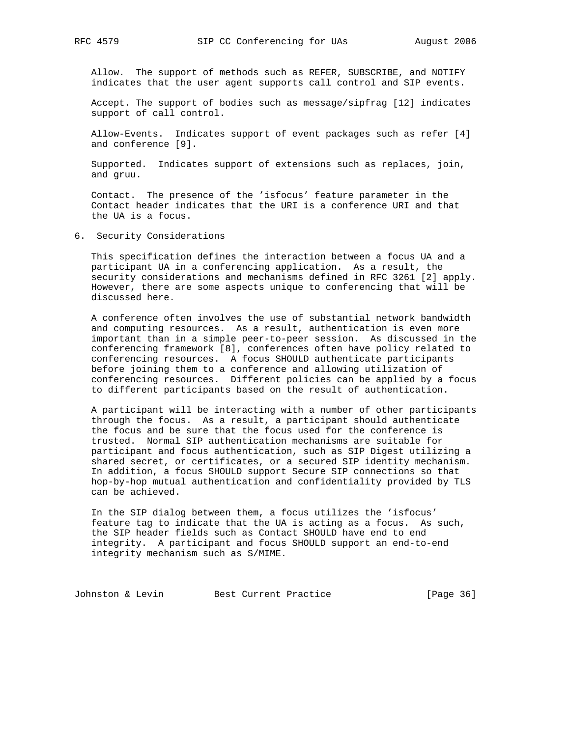Allow. The support of methods such as REFER, SUBSCRIBE, and NOTIFY indicates that the user agent supports call control and SIP events.

 Accept. The support of bodies such as message/sipfrag [12] indicates support of call control.

 Allow-Events. Indicates support of event packages such as refer [4] and conference [9].

 Supported. Indicates support of extensions such as replaces, join, and gruu.

 Contact. The presence of the 'isfocus' feature parameter in the Contact header indicates that the URI is a conference URI and that the UA is a focus.

6. Security Considerations

 This specification defines the interaction between a focus UA and a participant UA in a conferencing application. As a result, the security considerations and mechanisms defined in RFC 3261 [2] apply. However, there are some aspects unique to conferencing that will be discussed here.

 A conference often involves the use of substantial network bandwidth and computing resources. As a result, authentication is even more important than in a simple peer-to-peer session. As discussed in the conferencing framework [8], conferences often have policy related to conferencing resources. A focus SHOULD authenticate participants before joining them to a conference and allowing utilization of conferencing resources. Different policies can be applied by a focus to different participants based on the result of authentication.

 A participant will be interacting with a number of other participants through the focus. As a result, a participant should authenticate the focus and be sure that the focus used for the conference is trusted. Normal SIP authentication mechanisms are suitable for participant and focus authentication, such as SIP Digest utilizing a shared secret, or certificates, or a secured SIP identity mechanism. In addition, a focus SHOULD support Secure SIP connections so that hop-by-hop mutual authentication and confidentiality provided by TLS can be achieved.

 In the SIP dialog between them, a focus utilizes the 'isfocus' feature tag to indicate that the UA is acting as a focus. As such, the SIP header fields such as Contact SHOULD have end to end integrity. A participant and focus SHOULD support an end-to-end integrity mechanism such as S/MIME.

Johnston & Levin Best Current Practice [Page 36]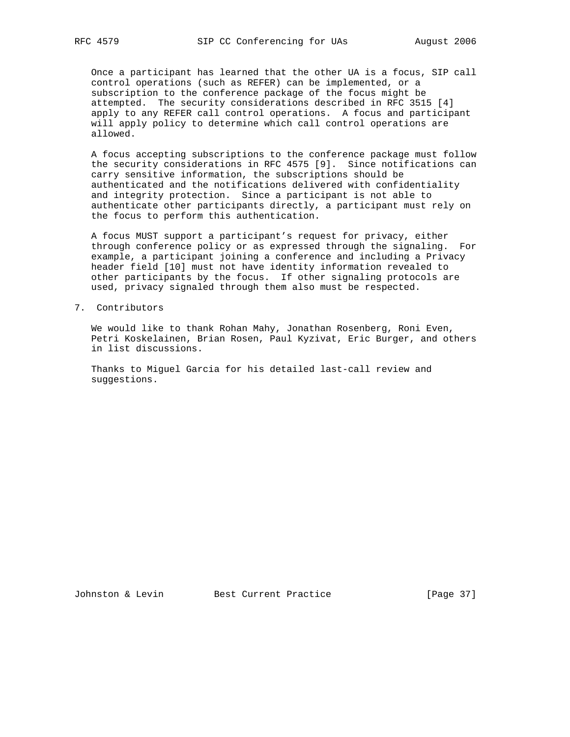Once a participant has learned that the other UA is a focus, SIP call control operations (such as REFER) can be implemented, or a subscription to the conference package of the focus might be attempted. The security considerations described in RFC 3515 [4] apply to any REFER call control operations. A focus and participant will apply policy to determine which call control operations are allowed.

 A focus accepting subscriptions to the conference package must follow the security considerations in RFC 4575 [9]. Since notifications can carry sensitive information, the subscriptions should be authenticated and the notifications delivered with confidentiality and integrity protection. Since a participant is not able to authenticate other participants directly, a participant must rely on the focus to perform this authentication.

 A focus MUST support a participant's request for privacy, either through conference policy or as expressed through the signaling. For example, a participant joining a conference and including a Privacy header field [10] must not have identity information revealed to other participants by the focus. If other signaling protocols are used, privacy signaled through them also must be respected.

7. Contributors

 We would like to thank Rohan Mahy, Jonathan Rosenberg, Roni Even, Petri Koskelainen, Brian Rosen, Paul Kyzivat, Eric Burger, and others in list discussions.

 Thanks to Miguel Garcia for his detailed last-call review and suggestions.

Johnston & Levin Best Current Practice [Page 37]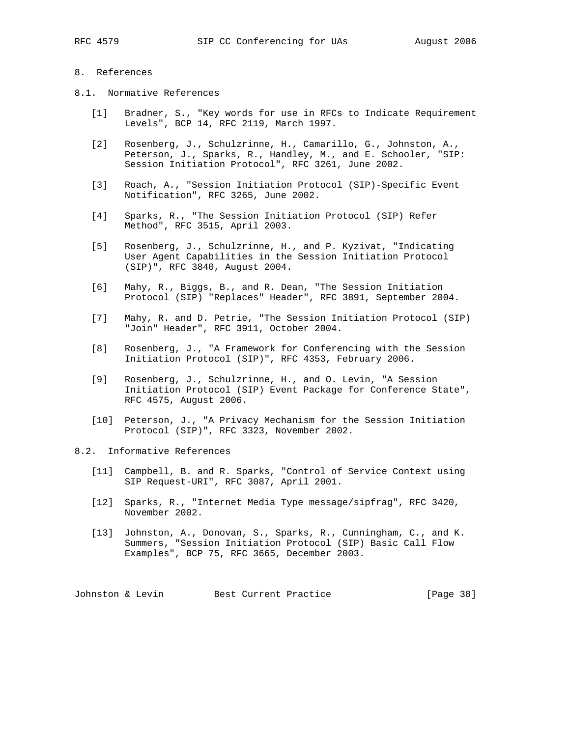# 8. References

- 8.1. Normative References
	- [1] Bradner, S., "Key words for use in RFCs to Indicate Requirement Levels", BCP 14, RFC 2119, March 1997.
	- [2] Rosenberg, J., Schulzrinne, H., Camarillo, G., Johnston, A., Peterson, J., Sparks, R., Handley, M., and E. Schooler, "SIP: Session Initiation Protocol", RFC 3261, June 2002.
	- [3] Roach, A., "Session Initiation Protocol (SIP)-Specific Event Notification", RFC 3265, June 2002.
	- [4] Sparks, R., "The Session Initiation Protocol (SIP) Refer Method", RFC 3515, April 2003.
	- [5] Rosenberg, J., Schulzrinne, H., and P. Kyzivat, "Indicating User Agent Capabilities in the Session Initiation Protocol (SIP)", RFC 3840, August 2004.
	- [6] Mahy, R., Biggs, B., and R. Dean, "The Session Initiation Protocol (SIP) "Replaces" Header", RFC 3891, September 2004.
	- [7] Mahy, R. and D. Petrie, "The Session Initiation Protocol (SIP) "Join" Header", RFC 3911, October 2004.
	- [8] Rosenberg, J., "A Framework for Conferencing with the Session Initiation Protocol (SIP)", RFC 4353, February 2006.
	- [9] Rosenberg, J., Schulzrinne, H., and O. Levin, "A Session Initiation Protocol (SIP) Event Package for Conference State", RFC 4575, August 2006.
	- [10] Peterson, J., "A Privacy Mechanism for the Session Initiation Protocol (SIP)", RFC 3323, November 2002.
- 8.2. Informative References
	- [11] Campbell, B. and R. Sparks, "Control of Service Context using SIP Request-URI", RFC 3087, April 2001.
	- [12] Sparks, R., "Internet Media Type message/sipfrag", RFC 3420, November 2002.
	- [13] Johnston, A., Donovan, S., Sparks, R., Cunningham, C., and K. Summers, "Session Initiation Protocol (SIP) Basic Call Flow Examples", BCP 75, RFC 3665, December 2003.

Johnston & Levin Best Current Practice [Page 38]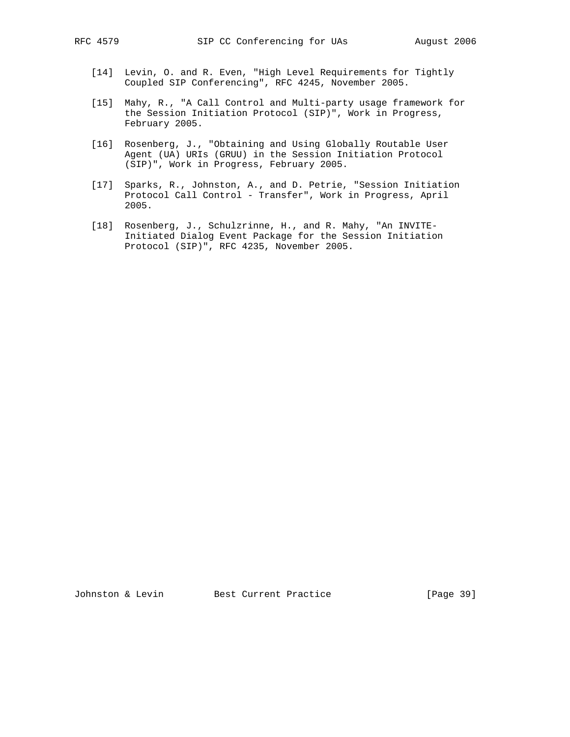- [14] Levin, O. and R. Even, "High Level Requirements for Tightly Coupled SIP Conferencing", RFC 4245, November 2005.
- [15] Mahy, R., "A Call Control and Multi-party usage framework for the Session Initiation Protocol (SIP)", Work in Progress, February 2005.
- [16] Rosenberg, J., "Obtaining and Using Globally Routable User Agent (UA) URIs (GRUU) in the Session Initiation Protocol (SIP)", Work in Progress, February 2005.
- [17] Sparks, R., Johnston, A., and D. Petrie, "Session Initiation Protocol Call Control - Transfer", Work in Progress, April 2005.
- [18] Rosenberg, J., Schulzrinne, H., and R. Mahy, "An INVITE- Initiated Dialog Event Package for the Session Initiation Protocol (SIP)", RFC 4235, November 2005.

Johnston & Levin Best Current Practice [Page 39]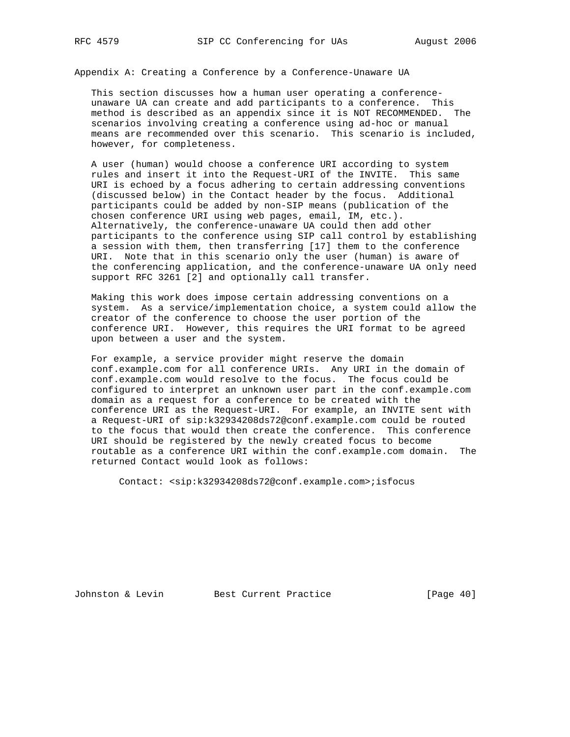Appendix A: Creating a Conference by a Conference-Unaware UA

 This section discusses how a human user operating a conference unaware UA can create and add participants to a conference. This method is described as an appendix since it is NOT RECOMMENDED. The scenarios involving creating a conference using ad-hoc or manual means are recommended over this scenario. This scenario is included, however, for completeness.

 A user (human) would choose a conference URI according to system rules and insert it into the Request-URI of the INVITE. This same URI is echoed by a focus adhering to certain addressing conventions (discussed below) in the Contact header by the focus. Additional participants could be added by non-SIP means (publication of the chosen conference URI using web pages, email, IM, etc.). Alternatively, the conference-unaware UA could then add other participants to the conference using SIP call control by establishing a session with them, then transferring [17] them to the conference URI. Note that in this scenario only the user (human) is aware of the conferencing application, and the conference-unaware UA only need support RFC 3261 [2] and optionally call transfer.

 Making this work does impose certain addressing conventions on a system. As a service/implementation choice, a system could allow the creator of the conference to choose the user portion of the conference URI. However, this requires the URI format to be agreed upon between a user and the system.

 For example, a service provider might reserve the domain conf.example.com for all conference URIs. Any URI in the domain of conf.example.com would resolve to the focus. The focus could be configured to interpret an unknown user part in the conf.example.com domain as a request for a conference to be created with the conference URI as the Request-URI. For example, an INVITE sent with a Request-URI of sip:k32934208ds72@conf.example.com could be routed to the focus that would then create the conference. This conference URI should be registered by the newly created focus to become routable as a conference URI within the conf.example.com domain. The returned Contact would look as follows:

Contact: <sip:k32934208ds72@conf.example.com>;isfocus

Johnston & Levin Best Current Practice [Page 40]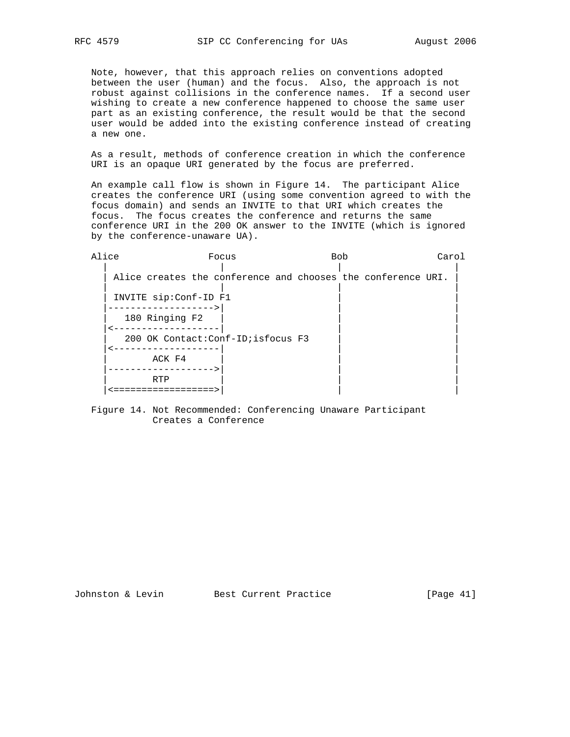Note, however, that this approach relies on conventions adopted between the user (human) and the focus. Also, the approach is not robust against collisions in the conference names. If a second user wishing to create a new conference happened to choose the same user part as an existing conference, the result would be that the second user would be added into the existing conference instead of creating a new one.

 As a result, methods of conference creation in which the conference URI is an opaque URI generated by the focus are preferred.

 An example call flow is shown in Figure 14. The participant Alice creates the conference URI (using some convention agreed to with the focus domain) and sends an INVITE to that URI which creates the focus. The focus creates the conference and returns the same conference URI in the 200 OK answer to the INVITE (which is ignored by the conference-unaware UA).

| Alice | Focus                                                        | <b>Bob</b> |  | Carol |  |
|-------|--------------------------------------------------------------|------------|--|-------|--|
|       | Alice creates the conference and chooses the conference URI. |            |  |       |  |
|       |                                                              |            |  |       |  |
|       | INVITE sip:Conf-ID F1                                        |            |  |       |  |
|       |                                                              |            |  |       |  |
|       | 180 Ringing F2                                               |            |  |       |  |
|       |                                                              |            |  |       |  |
|       | 200 OK Contact: Conf-ID; isfocus F3                          |            |  |       |  |
|       |                                                              |            |  |       |  |
|       | ACK F4                                                       |            |  |       |  |
|       |                                                              |            |  |       |  |
|       | RTP                                                          |            |  |       |  |
|       |                                                              |            |  |       |  |

 Figure 14. Not Recommended: Conferencing Unaware Participant Creates a Conference

Johnston & Levin Best Current Practice [Page 41]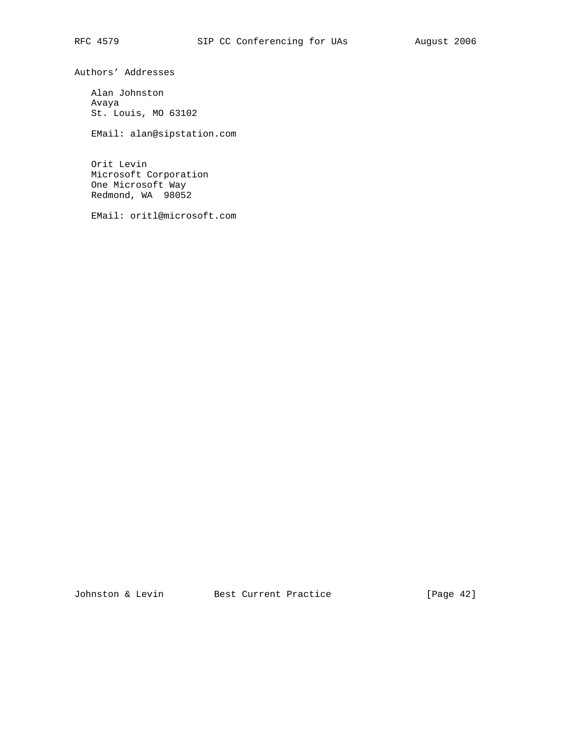Authors' Addresses

 Alan Johnston Avaya St. Louis, MO 63102

EMail: alan@sipstation.com

 Orit Levin Microsoft Corporation One Microsoft Way Redmond, WA 98052

EMail: oritl@microsoft.com

Johnston & Levin Best Current Practice [Page 42]